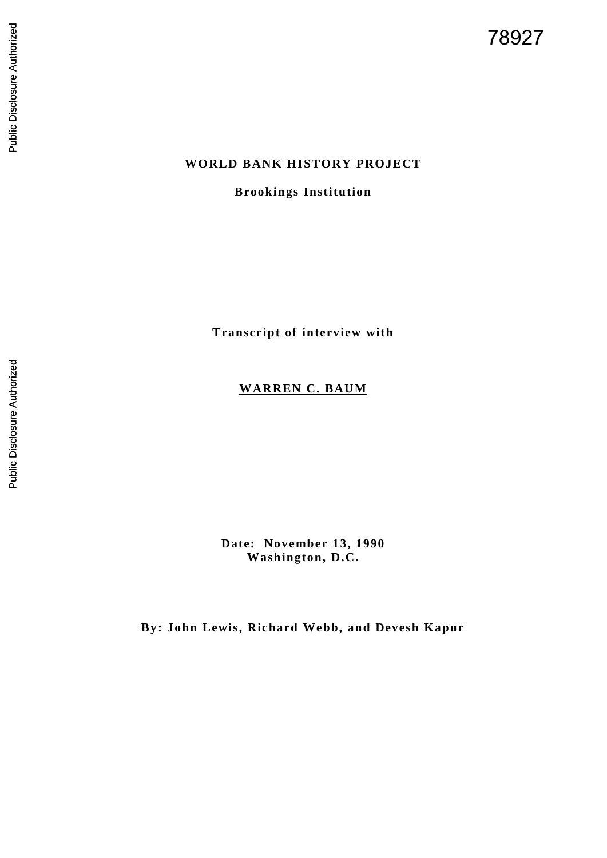# **WORLD BANK HISTORY PROJECT**

## **Brookings Institution**

**Transcript of interview with**

# **WARREN C. BAUM**

**Date: November 13, 1990 Washington, D.C.**

**By: John Lewis, Richard Webb, and Devesh Kapur**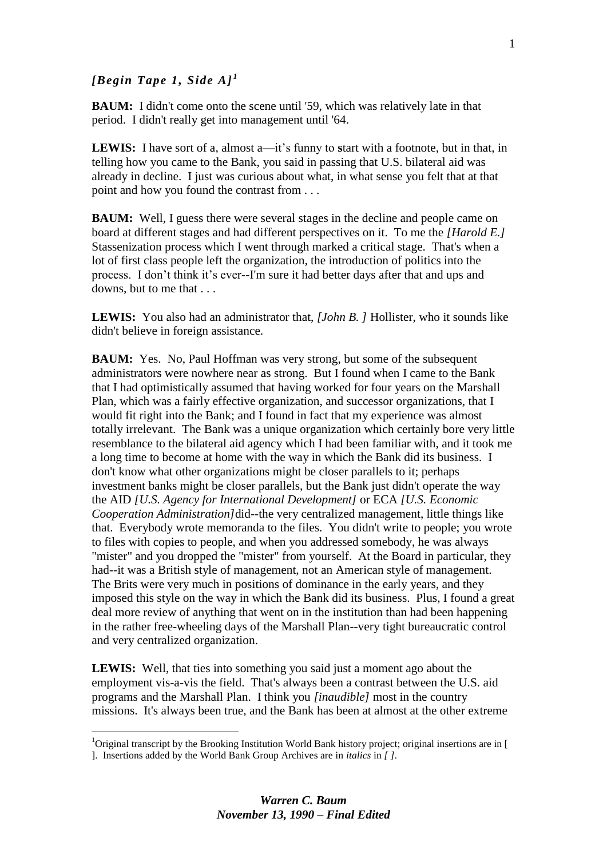## *[Begin Tape 1, Side*  $AI<sup>1</sup>$

1

**BAUM:** I didn't come onto the scene until '59, which was relatively late in that period. I didn't really get into management until '64.

**LEWIS:** I have sort of a, almost a—it's funny to start with a footnote, but in that, in telling how you came to the Bank, you said in passing that U.S. bilateral aid was already in decline. I just was curious about what, in what sense you felt that at that point and how you found the contrast from . . .

**BAUM:** Well, I guess there were several stages in the decline and people came on board at different stages and had different perspectives on it. To me the *[Harold E.]*  Stassenization process which I went through marked a critical stage. That's when a lot of first class people left the organization, the introduction of politics into the process. I don't think it's ever--I'm sure it had better days after that and ups and downs, but to me that ...

**LEWIS:** You also had an administrator that, *[John B. ]* Hollister, who it sounds like didn't believe in foreign assistance.

**BAUM:** Yes. No, Paul Hoffman was very strong, but some of the subsequent administrators were nowhere near as strong. But I found when I came to the Bank that I had optimistically assumed that having worked for four years on the Marshall Plan, which was a fairly effective organization, and successor organizations, that I would fit right into the Bank; and I found in fact that my experience was almost totally irrelevant. The Bank was a unique organization which certainly bore very little resemblance to the bilateral aid agency which I had been familiar with, and it took me a long time to become at home with the way in which the Bank did its business. I don't know what other organizations might be closer parallels to it; perhaps investment banks might be closer parallels, but the Bank just didn't operate the way the AID *[U.S. Agency for International Development]* or ECA *[U.S. Economic Cooperation Administration]*did--the very centralized management, little things like that. Everybody wrote memoranda to the files. You didn't write to people; you wrote to files with copies to people, and when you addressed somebody, he was always "mister" and you dropped the "mister" from yourself. At the Board in particular, they had--it was a British style of management, not an American style of management. The Brits were very much in positions of dominance in the early years, and they imposed this style on the way in which the Bank did its business. Plus, I found a great deal more review of anything that went on in the institution than had been happening in the rather free-wheeling days of the Marshall Plan--very tight bureaucratic control and very centralized organization.

**LEWIS:** Well, that ties into something you said just a moment ago about the employment vis-a-vis the field. That's always been a contrast between the U.S. aid programs and the Marshall Plan. I think you *[inaudible]* most in the country missions. It's always been true, and the Bank has been at almost at the other extreme

<sup>&</sup>lt;sup>1</sup>Original transcript by the Brooking Institution World Bank history project; original insertions are in [ ]. Insertions added by the World Bank Group Archives are in *italics* in *[ ].*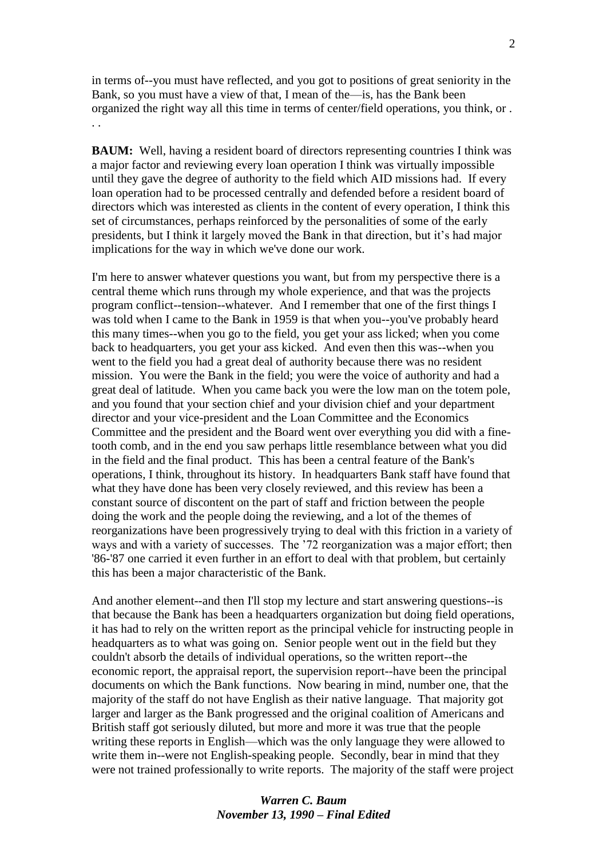in terms of--you must have reflected, and you got to positions of great seniority in the Bank, so you must have a view of that, I mean of the—is, has the Bank been organized the right way all this time in terms of center/field operations, you think, or . . .

**BAUM:** Well, having a resident board of directors representing countries I think was a major factor and reviewing every loan operation I think was virtually impossible until they gave the degree of authority to the field which AID missions had. If every loan operation had to be processed centrally and defended before a resident board of directors which was interested as clients in the content of every operation, I think this set of circumstances, perhaps reinforced by the personalities of some of the early presidents, but I think it largely moved the Bank in that direction, but it's had major implications for the way in which we've done our work.

I'm here to answer whatever questions you want, but from my perspective there is a central theme which runs through my whole experience, and that was the projects program conflict--tension--whatever. And I remember that one of the first things I was told when I came to the Bank in 1959 is that when you--you've probably heard this many times--when you go to the field, you get your ass licked; when you come back to headquarters, you get your ass kicked. And even then this was--when you went to the field you had a great deal of authority because there was no resident mission. You were the Bank in the field; you were the voice of authority and had a great deal of latitude. When you came back you were the low man on the totem pole, and you found that your section chief and your division chief and your department director and your vice-president and the Loan Committee and the Economics Committee and the president and the Board went over everything you did with a finetooth comb, and in the end you saw perhaps little resemblance between what you did in the field and the final product. This has been a central feature of the Bank's operations, I think, throughout its history. In headquarters Bank staff have found that what they have done has been very closely reviewed, and this review has been a constant source of discontent on the part of staff and friction between the people doing the work and the people doing the reviewing, and a lot of the themes of reorganizations have been progressively trying to deal with this friction in a variety of ways and with a variety of successes. The '72 reorganization was a major effort; then '86-'87 one carried it even further in an effort to deal with that problem, but certainly this has been a major characteristic of the Bank.

And another element--and then I'll stop my lecture and start answering questions--is that because the Bank has been a headquarters organization but doing field operations, it has had to rely on the written report as the principal vehicle for instructing people in headquarters as to what was going on. Senior people went out in the field but they couldn't absorb the details of individual operations, so the written report--the economic report, the appraisal report, the supervision report--have been the principal documents on which the Bank functions. Now bearing in mind, number one, that the majority of the staff do not have English as their native language. That majority got larger and larger as the Bank progressed and the original coalition of Americans and British staff got seriously diluted, but more and more it was true that the people writing these reports in English—which was the only language they were allowed to write them in--were not English-speaking people. Secondly, bear in mind that they were not trained professionally to write reports. The majority of the staff were project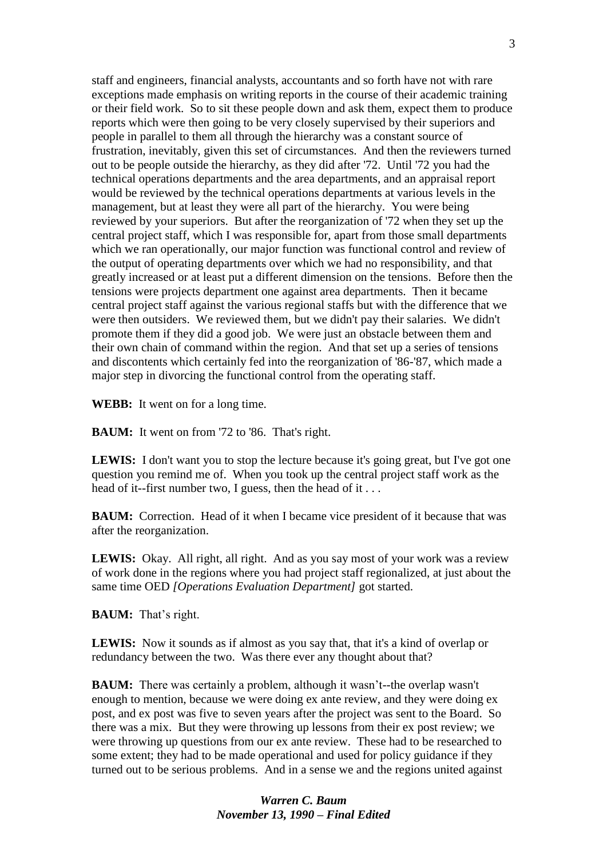staff and engineers, financial analysts, accountants and so forth have not with rare exceptions made emphasis on writing reports in the course of their academic training or their field work. So to sit these people down and ask them, expect them to produce reports which were then going to be very closely supervised by their superiors and people in parallel to them all through the hierarchy was a constant source of frustration, inevitably, given this set of circumstances. And then the reviewers turned out to be people outside the hierarchy, as they did after '72. Until '72 you had the technical operations departments and the area departments, and an appraisal report would be reviewed by the technical operations departments at various levels in the management, but at least they were all part of the hierarchy. You were being reviewed by your superiors. But after the reorganization of '72 when they set up the central project staff, which I was responsible for, apart from those small departments which we ran operationally, our major function was functional control and review of the output of operating departments over which we had no responsibility, and that greatly increased or at least put a different dimension on the tensions. Before then the tensions were projects department one against area departments. Then it became central project staff against the various regional staffs but with the difference that we were then outsiders. We reviewed them, but we didn't pay their salaries. We didn't promote them if they did a good job. We were just an obstacle between them and their own chain of command within the region. And that set up a series of tensions and discontents which certainly fed into the reorganization of '86-'87, which made a major step in divorcing the functional control from the operating staff.

**WEBB:** It went on for a long time.

**BAUM:** It went on from '72 to '86. That's right.

**LEWIS:** I don't want you to stop the lecture because it's going great, but I've got one question you remind me of. When you took up the central project staff work as the head of it--first number two, I guess, then the head of it . . .

**BAUM:** Correction. Head of it when I became vice president of it because that was after the reorganization.

**LEWIS:** Okay. All right, all right. And as you say most of your work was a review of work done in the regions where you had project staff regionalized, at just about the same time OED *[Operations Evaluation Department]* got started.

**BAUM:** That's right.

**LEWIS:** Now it sounds as if almost as you say that, that it's a kind of overlap or redundancy between the two. Was there ever any thought about that?

**BAUM:** There was certainly a problem, although it wasn't--the overlap wasn't enough to mention, because we were doing ex ante review, and they were doing ex post, and ex post was five to seven years after the project was sent to the Board. So there was a mix. But they were throwing up lessons from their ex post review; we were throwing up questions from our ex ante review. These had to be researched to some extent; they had to be made operational and used for policy guidance if they turned out to be serious problems. And in a sense we and the regions united against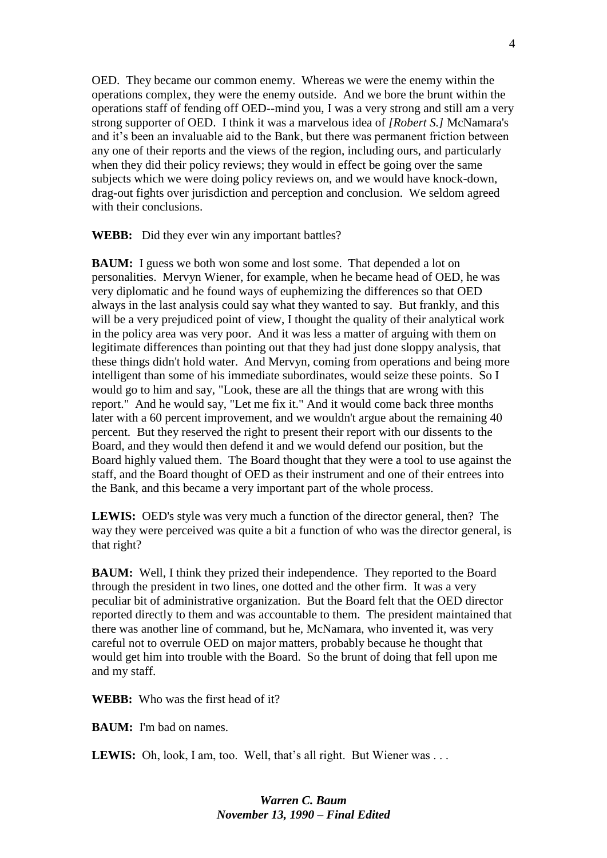OED. They became our common enemy. Whereas we were the enemy within the operations complex, they were the enemy outside. And we bore the brunt within the operations staff of fending off OED--mind you, I was a very strong and still am a very strong supporter of OED. I think it was a marvelous idea of *[Robert S.]* McNamara's and it's been an invaluable aid to the Bank, but there was permanent friction between any one of their reports and the views of the region, including ours, and particularly when they did their policy reviews; they would in effect be going over the same subjects which we were doing policy reviews on, and we would have knock-down, drag-out fights over jurisdiction and perception and conclusion. We seldom agreed with their conclusions.

**WEBB:** Did they ever win any important battles?

**BAUM:** I guess we both won some and lost some. That depended a lot on personalities. Mervyn Wiener, for example, when he became head of OED, he was very diplomatic and he found ways of euphemizing the differences so that OED always in the last analysis could say what they wanted to say. But frankly, and this will be a very prejudiced point of view. I thought the quality of their analytical work in the policy area was very poor. And it was less a matter of arguing with them on legitimate differences than pointing out that they had just done sloppy analysis, that these things didn't hold water. And Mervyn, coming from operations and being more intelligent than some of his immediate subordinates, would seize these points. So I would go to him and say, "Look, these are all the things that are wrong with this report." And he would say, "Let me fix it." And it would come back three months later with a 60 percent improvement, and we wouldn't argue about the remaining 40 percent. But they reserved the right to present their report with our dissents to the Board, and they would then defend it and we would defend our position, but the Board highly valued them. The Board thought that they were a tool to use against the staff, and the Board thought of OED as their instrument and one of their entrees into the Bank, and this became a very important part of the whole process.

**LEWIS:** OED's style was very much a function of the director general, then? The way they were perceived was quite a bit a function of who was the director general, is that right?

**BAUM:** Well, I think they prized their independence. They reported to the Board through the president in two lines, one dotted and the other firm. It was a very peculiar bit of administrative organization. But the Board felt that the OED director reported directly to them and was accountable to them. The president maintained that there was another line of command, but he, McNamara, who invented it, was very careful not to overrule OED on major matters, probably because he thought that would get him into trouble with the Board. So the brunt of doing that fell upon me and my staff.

**WEBB:** Who was the first head of it?

**BAUM:** I'm bad on names.

LEWIS: Oh, look, I am, too. Well, that's all right. But Wiener was . . .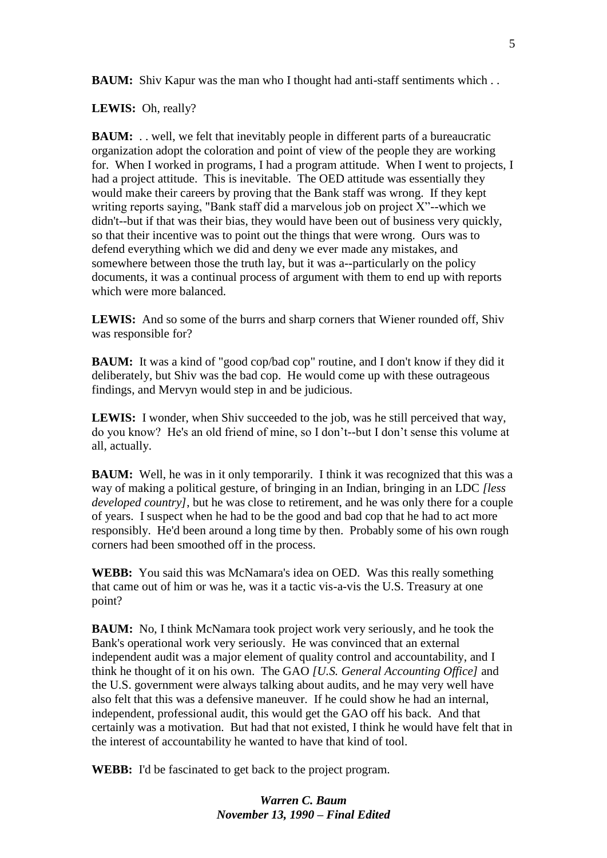**BAUM:** Shiv Kapur was the man who I thought had anti-staff sentiments which . .

**LEWIS:** Oh, really?

**BAUM:** . . well, we felt that inevitably people in different parts of a bureaucratic organization adopt the coloration and point of view of the people they are working for. When I worked in programs, I had a program attitude. When I went to projects, I had a project attitude. This is inevitable. The OED attitude was essentially they would make their careers by proving that the Bank staff was wrong. If they kept writing reports saying, "Bank staff did a marvelous job on project X"--which we didn't--but if that was their bias, they would have been out of business very quickly, so that their incentive was to point out the things that were wrong. Ours was to defend everything which we did and deny we ever made any mistakes, and somewhere between those the truth lay, but it was a--particularly on the policy documents, it was a continual process of argument with them to end up with reports which were more balanced.

**LEWIS:** And so some of the burrs and sharp corners that Wiener rounded off, Shiv was responsible for?

**BAUM:** It was a kind of "good cop/bad cop" routine, and I don't know if they did it deliberately, but Shiv was the bad cop. He would come up with these outrageous findings, and Mervyn would step in and be judicious.

**LEWIS:** I wonder, when Shiv succeeded to the job, was he still perceived that way, do you know? He's an old friend of mine, so I don't--but I don't sense this volume at all, actually.

**BAUM:** Well, he was in it only temporarily. I think it was recognized that this was a way of making a political gesture, of bringing in an Indian, bringing in an LDC *[less developed country]*, but he was close to retirement, and he was only there for a couple of years. I suspect when he had to be the good and bad cop that he had to act more responsibly. He'd been around a long time by then. Probably some of his own rough corners had been smoothed off in the process.

**WEBB:** You said this was McNamara's idea on OED. Was this really something that came out of him or was he, was it a tactic vis-a-vis the U.S. Treasury at one point?

**BAUM:** No, I think McNamara took project work very seriously, and he took the Bank's operational work very seriously. He was convinced that an external independent audit was a major element of quality control and accountability, and I think he thought of it on his own. The GAO *[U.S. General Accounting Office]* and the U.S. government were always talking about audits, and he may very well have also felt that this was a defensive maneuver. If he could show he had an internal, independent, professional audit, this would get the GAO off his back. And that certainly was a motivation. But had that not existed, I think he would have felt that in the interest of accountability he wanted to have that kind of tool.

**WEBB:** I'd be fascinated to get back to the project program.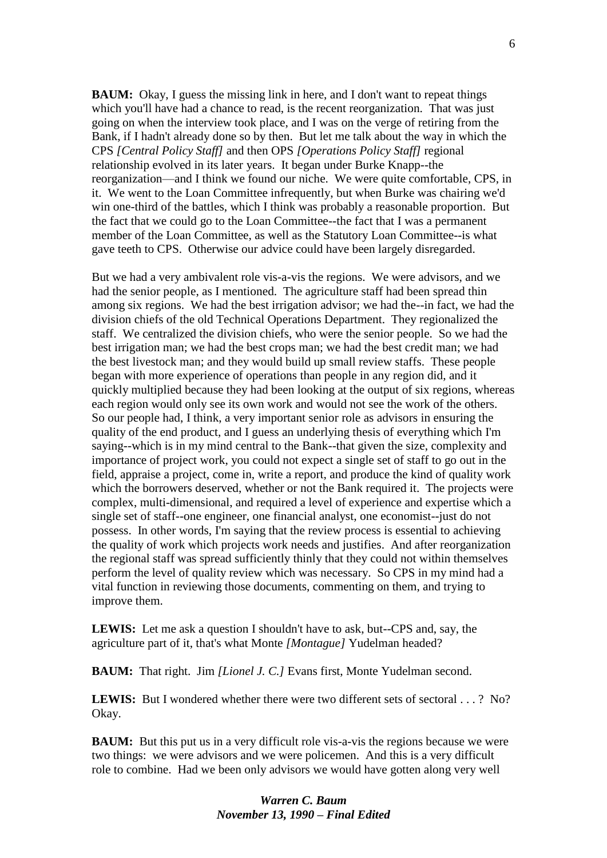**BAUM:** Okay, I guess the missing link in here, and I don't want to repeat things which you'll have had a chance to read, is the recent reorganization. That was just going on when the interview took place, and I was on the verge of retiring from the Bank, if I hadn't already done so by then. But let me talk about the way in which the CPS *[Central Policy Staff]* and then OPS *[Operations Policy Staff]* regional relationship evolved in its later years. It began under Burke Knapp--the reorganization—and I think we found our niche. We were quite comfortable, CPS, in it. We went to the Loan Committee infrequently, but when Burke was chairing we'd win one-third of the battles, which I think was probably a reasonable proportion. But the fact that we could go to the Loan Committee--the fact that I was a permanent member of the Loan Committee, as well as the Statutory Loan Committee--is what gave teeth to CPS. Otherwise our advice could have been largely disregarded.

But we had a very ambivalent role vis-a-vis the regions. We were advisors, and we had the senior people, as I mentioned. The agriculture staff had been spread thin among six regions. We had the best irrigation advisor; we had the--in fact, we had the division chiefs of the old Technical Operations Department. They regionalized the staff. We centralized the division chiefs, who were the senior people. So we had the best irrigation man; we had the best crops man; we had the best credit man; we had the best livestock man; and they would build up small review staffs. These people began with more experience of operations than people in any region did, and it quickly multiplied because they had been looking at the output of six regions, whereas each region would only see its own work and would not see the work of the others. So our people had, I think, a very important senior role as advisors in ensuring the quality of the end product, and I guess an underlying thesis of everything which I'm saying--which is in my mind central to the Bank--that given the size, complexity and importance of project work, you could not expect a single set of staff to go out in the field, appraise a project, come in, write a report, and produce the kind of quality work which the borrowers deserved, whether or not the Bank required it. The projects were complex, multi-dimensional, and required a level of experience and expertise which a single set of staff--one engineer, one financial analyst, one economist--just do not possess. In other words, I'm saying that the review process is essential to achieving the quality of work which projects work needs and justifies. And after reorganization the regional staff was spread sufficiently thinly that they could not within themselves perform the level of quality review which was necessary. So CPS in my mind had a vital function in reviewing those documents, commenting on them, and trying to improve them.

**LEWIS:** Let me ask a question I shouldn't have to ask, but--CPS and, say, the agriculture part of it, that's what Monte *[Montague]* Yudelman headed?

**BAUM:** That right. Jim *[Lionel J. C.]* Evans first, Monte Yudelman second.

LEWIS: But I wondered whether there were two different sets of sectoral . . . ? No? Okay.

**BAUM:** But this put us in a very difficult role vis-a-vis the regions because we were two things: we were advisors and we were policemen. And this is a very difficult role to combine. Had we been only advisors we would have gotten along very well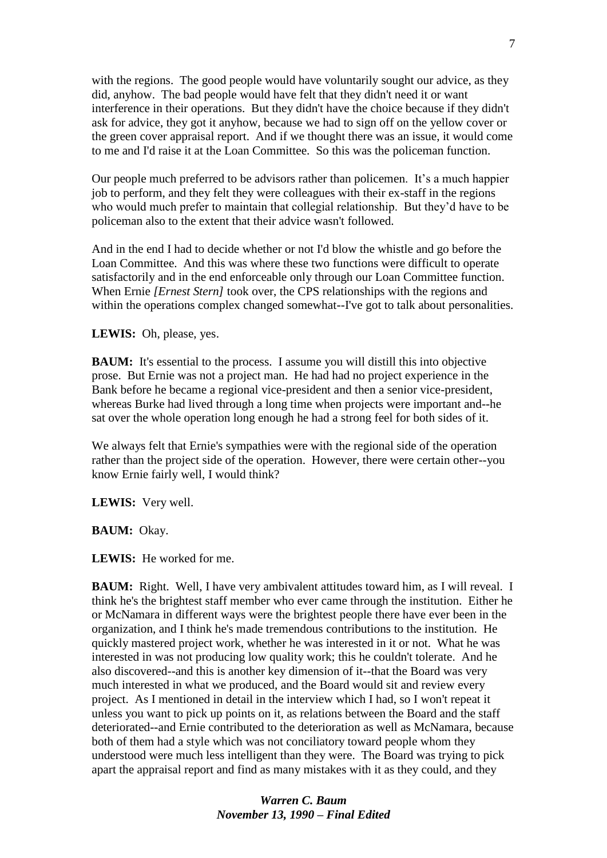with the regions. The good people would have voluntarily sought our advice, as they did, anyhow. The bad people would have felt that they didn't need it or want interference in their operations. But they didn't have the choice because if they didn't ask for advice, they got it anyhow, because we had to sign off on the yellow cover or the green cover appraisal report. And if we thought there was an issue, it would come to me and I'd raise it at the Loan Committee. So this was the policeman function.

Our people much preferred to be advisors rather than policemen. It's a much happier job to perform, and they felt they were colleagues with their ex-staff in the regions who would much prefer to maintain that collegial relationship. But they'd have to be policeman also to the extent that their advice wasn't followed.

And in the end I had to decide whether or not I'd blow the whistle and go before the Loan Committee. And this was where these two functions were difficult to operate satisfactorily and in the end enforceable only through our Loan Committee function. When Ernie *[Ernest Stern]* took over, the CPS relationships with the regions and within the operations complex changed somewhat--I've got to talk about personalities.

#### **LEWIS:** Oh, please, yes.

**BAUM:** It's essential to the process. I assume you will distill this into objective prose. But Ernie was not a project man. He had had no project experience in the Bank before he became a regional vice-president and then a senior vice-president, whereas Burke had lived through a long time when projects were important and--he sat over the whole operation long enough he had a strong feel for both sides of it.

We always felt that Ernie's sympathies were with the regional side of the operation rather than the project side of the operation. However, there were certain other--you know Ernie fairly well, I would think?

**LEWIS:** Very well.

#### **BAUM:** Okay.

**LEWIS:** He worked for me.

**BAUM:** Right. Well, I have very ambivalent attitudes toward him, as I will reveal. I think he's the brightest staff member who ever came through the institution. Either he or McNamara in different ways were the brightest people there have ever been in the organization, and I think he's made tremendous contributions to the institution. He quickly mastered project work, whether he was interested in it or not. What he was interested in was not producing low quality work; this he couldn't tolerate. And he also discovered--and this is another key dimension of it--that the Board was very much interested in what we produced, and the Board would sit and review every project. As I mentioned in detail in the interview which I had, so I won't repeat it unless you want to pick up points on it, as relations between the Board and the staff deteriorated--and Ernie contributed to the deterioration as well as McNamara, because both of them had a style which was not conciliatory toward people whom they understood were much less intelligent than they were. The Board was trying to pick apart the appraisal report and find as many mistakes with it as they could, and they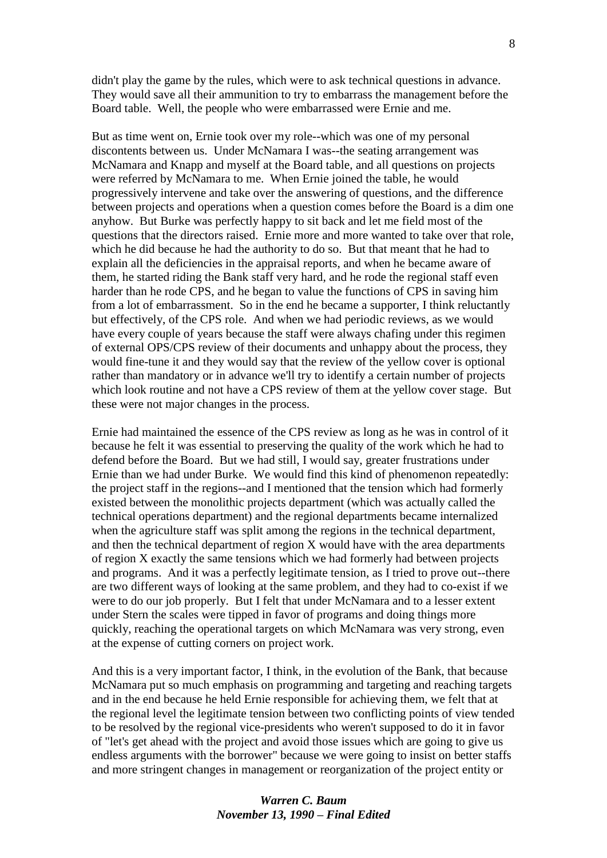didn't play the game by the rules, which were to ask technical questions in advance. They would save all their ammunition to try to embarrass the management before the Board table. Well, the people who were embarrassed were Ernie and me.

But as time went on, Ernie took over my role--which was one of my personal discontents between us. Under McNamara I was--the seating arrangement was McNamara and Knapp and myself at the Board table, and all questions on projects were referred by McNamara to me. When Ernie joined the table, he would progressively intervene and take over the answering of questions, and the difference between projects and operations when a question comes before the Board is a dim one anyhow. But Burke was perfectly happy to sit back and let me field most of the questions that the directors raised. Ernie more and more wanted to take over that role, which he did because he had the authority to do so. But that meant that he had to explain all the deficiencies in the appraisal reports, and when he became aware of them, he started riding the Bank staff very hard, and he rode the regional staff even harder than he rode CPS, and he began to value the functions of CPS in saving him from a lot of embarrassment. So in the end he became a supporter, I think reluctantly but effectively, of the CPS role. And when we had periodic reviews, as we would have every couple of years because the staff were always chafing under this regimen of external OPS/CPS review of their documents and unhappy about the process, they would fine-tune it and they would say that the review of the yellow cover is optional rather than mandatory or in advance we'll try to identify a certain number of projects which look routine and not have a CPS review of them at the yellow cover stage. But these were not major changes in the process.

Ernie had maintained the essence of the CPS review as long as he was in control of it because he felt it was essential to preserving the quality of the work which he had to defend before the Board. But we had still, I would say, greater frustrations under Ernie than we had under Burke. We would find this kind of phenomenon repeatedly: the project staff in the regions--and I mentioned that the tension which had formerly existed between the monolithic projects department (which was actually called the technical operations department) and the regional departments became internalized when the agriculture staff was split among the regions in the technical department, and then the technical department of region X would have with the area departments of region X exactly the same tensions which we had formerly had between projects and programs. And it was a perfectly legitimate tension, as I tried to prove out--there are two different ways of looking at the same problem, and they had to co-exist if we were to do our job properly. But I felt that under McNamara and to a lesser extent under Stern the scales were tipped in favor of programs and doing things more quickly, reaching the operational targets on which McNamara was very strong, even at the expense of cutting corners on project work.

And this is a very important factor, I think, in the evolution of the Bank, that because McNamara put so much emphasis on programming and targeting and reaching targets and in the end because he held Ernie responsible for achieving them, we felt that at the regional level the legitimate tension between two conflicting points of view tended to be resolved by the regional vice-presidents who weren't supposed to do it in favor of "let's get ahead with the project and avoid those issues which are going to give us endless arguments with the borrower" because we were going to insist on better staffs and more stringent changes in management or reorganization of the project entity or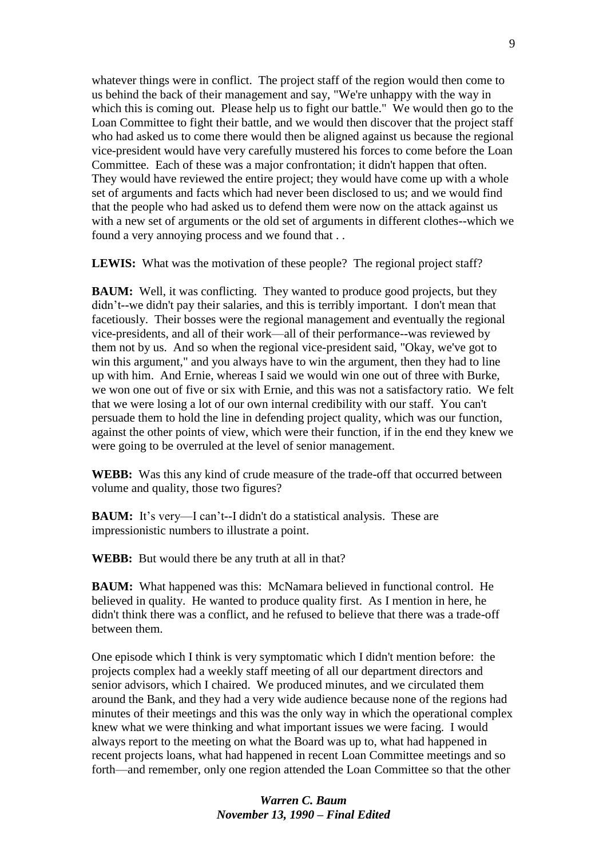whatever things were in conflict. The project staff of the region would then come to us behind the back of their management and say, "We're unhappy with the way in which this is coming out. Please help us to fight our battle." We would then go to the Loan Committee to fight their battle, and we would then discover that the project staff who had asked us to come there would then be aligned against us because the regional vice-president would have very carefully mustered his forces to come before the Loan Committee. Each of these was a major confrontation; it didn't happen that often. They would have reviewed the entire project; they would have come up with a whole set of arguments and facts which had never been disclosed to us; and we would find that the people who had asked us to defend them were now on the attack against us with a new set of arguments or the old set of arguments in different clothes--which we found a very annoying process and we found that . .

**LEWIS:** What was the motivation of these people? The regional project staff?

**BAUM:** Well, it was conflicting. They wanted to produce good projects, but they didn't--we didn't pay their salaries, and this is terribly important. I don't mean that facetiously. Their bosses were the regional management and eventually the regional vice-presidents, and all of their work—all of their performance--was reviewed by them not by us. And so when the regional vice-president said, "Okay, we've got to win this argument," and you always have to win the argument, then they had to line up with him. And Ernie, whereas I said we would win one out of three with Burke, we won one out of five or six with Ernie, and this was not a satisfactory ratio. We felt that we were losing a lot of our own internal credibility with our staff. You can't persuade them to hold the line in defending project quality, which was our function, against the other points of view, which were their function, if in the end they knew we were going to be overruled at the level of senior management.

**WEBB:** Was this any kind of crude measure of the trade-off that occurred between volume and quality, those two figures?

**BAUM:** It's very—I can't--I didn't do a statistical analysis. These are impressionistic numbers to illustrate a point.

**WEBB:** But would there be any truth at all in that?

**BAUM:** What happened was this: McNamara believed in functional control. He believed in quality. He wanted to produce quality first. As I mention in here, he didn't think there was a conflict, and he refused to believe that there was a trade-off between them.

One episode which I think is very symptomatic which I didn't mention before: the projects complex had a weekly staff meeting of all our department directors and senior advisors, which I chaired. We produced minutes, and we circulated them around the Bank, and they had a very wide audience because none of the regions had minutes of their meetings and this was the only way in which the operational complex knew what we were thinking and what important issues we were facing. I would always report to the meeting on what the Board was up to, what had happened in recent projects loans, what had happened in recent Loan Committee meetings and so forth—and remember, only one region attended the Loan Committee so that the other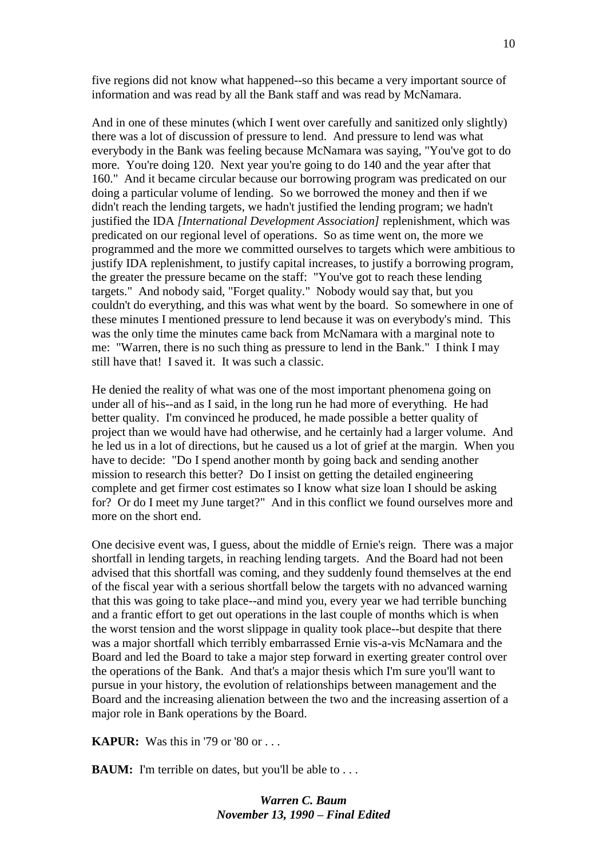five regions did not know what happened--so this became a very important source of information and was read by all the Bank staff and was read by McNamara.

And in one of these minutes (which I went over carefully and sanitized only slightly) there was a lot of discussion of pressure to lend. And pressure to lend was what everybody in the Bank was feeling because McNamara was saying, "You've got to do more. You're doing 120. Next year you're going to do 140 and the year after that 160." And it became circular because our borrowing program was predicated on our doing a particular volume of lending. So we borrowed the money and then if we didn't reach the lending targets, we hadn't justified the lending program; we hadn't justified the IDA *[International Development Association]* replenishment, which was predicated on our regional level of operations. So as time went on, the more we programmed and the more we committed ourselves to targets which were ambitious to justify IDA replenishment, to justify capital increases, to justify a borrowing program, the greater the pressure became on the staff: "You've got to reach these lending targets." And nobody said, "Forget quality." Nobody would say that, but you couldn't do everything, and this was what went by the board. So somewhere in one of these minutes I mentioned pressure to lend because it was on everybody's mind. This was the only time the minutes came back from McNamara with a marginal note to me: "Warren, there is no such thing as pressure to lend in the Bank." I think I may still have that! I saved it. It was such a classic.

He denied the reality of what was one of the most important phenomena going on under all of his--and as I said, in the long run he had more of everything. He had better quality. I'm convinced he produced, he made possible a better quality of project than we would have had otherwise, and he certainly had a larger volume. And he led us in a lot of directions, but he caused us a lot of grief at the margin. When you have to decide: "Do I spend another month by going back and sending another mission to research this better? Do I insist on getting the detailed engineering complete and get firmer cost estimates so I know what size loan I should be asking for? Or do I meet my June target?" And in this conflict we found ourselves more and more on the short end.

One decisive event was, I guess, about the middle of Ernie's reign. There was a major shortfall in lending targets, in reaching lending targets. And the Board had not been advised that this shortfall was coming, and they suddenly found themselves at the end of the fiscal year with a serious shortfall below the targets with no advanced warning that this was going to take place--and mind you, every year we had terrible bunching and a frantic effort to get out operations in the last couple of months which is when the worst tension and the worst slippage in quality took place--but despite that there was a major shortfall which terribly embarrassed Ernie vis-a-vis McNamara and the Board and led the Board to take a major step forward in exerting greater control over the operations of the Bank. And that's a major thesis which I'm sure you'll want to pursue in your history, the evolution of relationships between management and the Board and the increasing alienation between the two and the increasing assertion of a major role in Bank operations by the Board.

**KAPUR:** Was this in '79 or '80 or . . .

**BAUM:** I'm terrible on dates, but you'll be able to . . .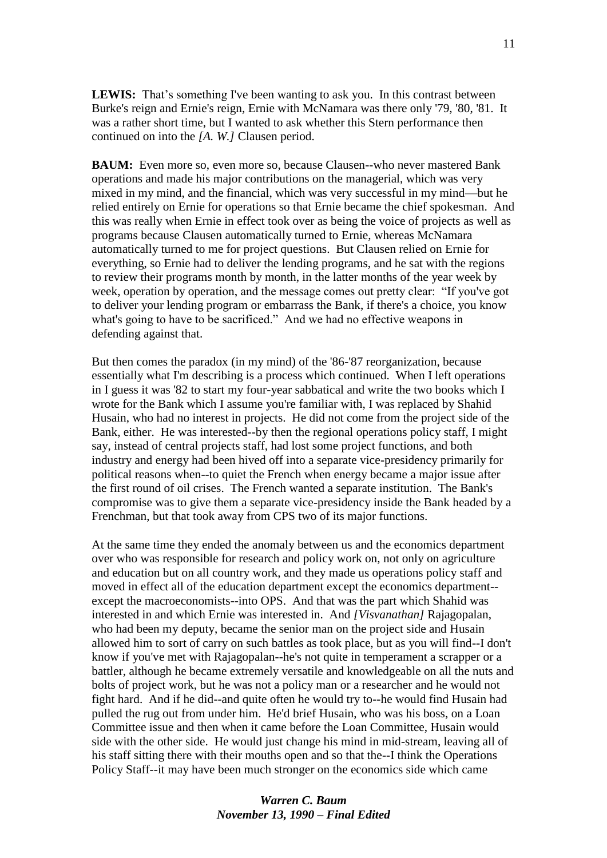LEWIS: That's something I've been wanting to ask you. In this contrast between Burke's reign and Ernie's reign, Ernie with McNamara was there only '79, '80, '81. It was a rather short time, but I wanted to ask whether this Stern performance then continued on into the *[A. W.]* Clausen period.

**BAUM:** Even more so, even more so, because Clausen--who never mastered Bank operations and made his major contributions on the managerial, which was very mixed in my mind, and the financial, which was very successful in my mind—but he relied entirely on Ernie for operations so that Ernie became the chief spokesman. And this was really when Ernie in effect took over as being the voice of projects as well as programs because Clausen automatically turned to Ernie, whereas McNamara automatically turned to me for project questions. But Clausen relied on Ernie for everything, so Ernie had to deliver the lending programs, and he sat with the regions to review their programs month by month, in the latter months of the year week by week, operation by operation, and the message comes out pretty clear: "If you've got to deliver your lending program or embarrass the Bank, if there's a choice, you know what's going to have to be sacrificed." And we had no effective weapons in defending against that.

But then comes the paradox (in my mind) of the '86-'87 reorganization, because essentially what I'm describing is a process which continued. When I left operations in I guess it was '82 to start my four-year sabbatical and write the two books which I wrote for the Bank which I assume you're familiar with, I was replaced by Shahid Husain, who had no interest in projects. He did not come from the project side of the Bank, either. He was interested--by then the regional operations policy staff, I might say, instead of central projects staff, had lost some project functions, and both industry and energy had been hived off into a separate vice-presidency primarily for political reasons when--to quiet the French when energy became a major issue after the first round of oil crises. The French wanted a separate institution. The Bank's compromise was to give them a separate vice-presidency inside the Bank headed by a Frenchman, but that took away from CPS two of its major functions.

At the same time they ended the anomaly between us and the economics department over who was responsible for research and policy work on, not only on agriculture and education but on all country work, and they made us operations policy staff and moved in effect all of the education department except the economics department- except the macroeconomists--into OPS. And that was the part which Shahid was interested in and which Ernie was interested in. And *[Visvanathan]* Rajagopalan, who had been my deputy, became the senior man on the project side and Husain allowed him to sort of carry on such battles as took place, but as you will find--I don't know if you've met with Rajagopalan--he's not quite in temperament a scrapper or a battler, although he became extremely versatile and knowledgeable on all the nuts and bolts of project work, but he was not a policy man or a researcher and he would not fight hard. And if he did--and quite often he would try to--he would find Husain had pulled the rug out from under him. He'd brief Husain, who was his boss, on a Loan Committee issue and then when it came before the Loan Committee, Husain would side with the other side. He would just change his mind in mid-stream, leaving all of his staff sitting there with their mouths open and so that the--I think the Operations Policy Staff--it may have been much stronger on the economics side which came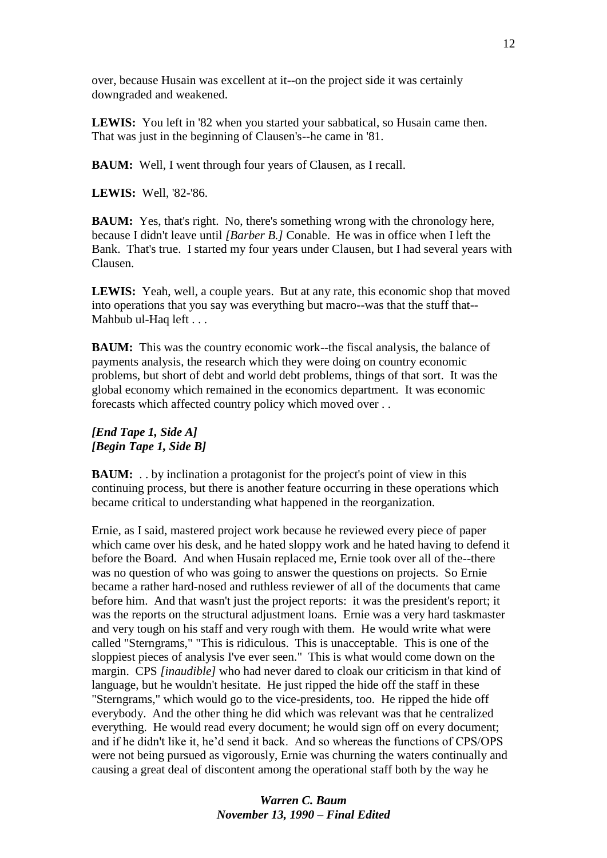over, because Husain was excellent at it--on the project side it was certainly downgraded and weakened.

**LEWIS:** You left in '82 when you started your sabbatical, so Husain came then. That was just in the beginning of Clausen's--he came in '81.

**BAUM:** Well, I went through four years of Clausen, as I recall.

**LEWIS:** Well, '82-'86.

**BAUM:** Yes, that's right. No, there's something wrong with the chronology here, because I didn't leave until *[Barber B.]* Conable. He was in office when I left the Bank. That's true. I started my four years under Clausen, but I had several years with Clausen.

**LEWIS:** Yeah, well, a couple years. But at any rate, this economic shop that moved into operations that you say was everything but macro--was that the stuff that-- Mahbub ul-Haq left . . .

**BAUM:** This was the country economic work--the fiscal analysis, the balance of payments analysis, the research which they were doing on country economic problems, but short of debt and world debt problems, things of that sort. It was the global economy which remained in the economics department. It was economic forecasts which affected country policy which moved over . .

#### *[End Tape 1, Side A] [Begin Tape 1, Side B]*

**BAUM:** . . by inclination a protagonist for the project's point of view in this continuing process, but there is another feature occurring in these operations which became critical to understanding what happened in the reorganization.

Ernie, as I said, mastered project work because he reviewed every piece of paper which came over his desk, and he hated sloppy work and he hated having to defend it before the Board. And when Husain replaced me, Ernie took over all of the--there was no question of who was going to answer the questions on projects. So Ernie became a rather hard-nosed and ruthless reviewer of all of the documents that came before him. And that wasn't just the project reports: it was the president's report; it was the reports on the structural adjustment loans. Ernie was a very hard taskmaster and very tough on his staff and very rough with them. He would write what were called "Sterngrams," "This is ridiculous. This is unacceptable. This is one of the sloppiest pieces of analysis I've ever seen." This is what would come down on the margin. CPS *[inaudible]* who had never dared to cloak our criticism in that kind of language, but he wouldn't hesitate. He just ripped the hide off the staff in these "Sterngrams," which would go to the vice-presidents, too. He ripped the hide off everybody. And the other thing he did which was relevant was that he centralized everything. He would read every document; he would sign off on every document; and if he didn't like it, he'd send it back. And so whereas the functions of CPS/OPS were not being pursued as vigorously, Ernie was churning the waters continually and causing a great deal of discontent among the operational staff both by the way he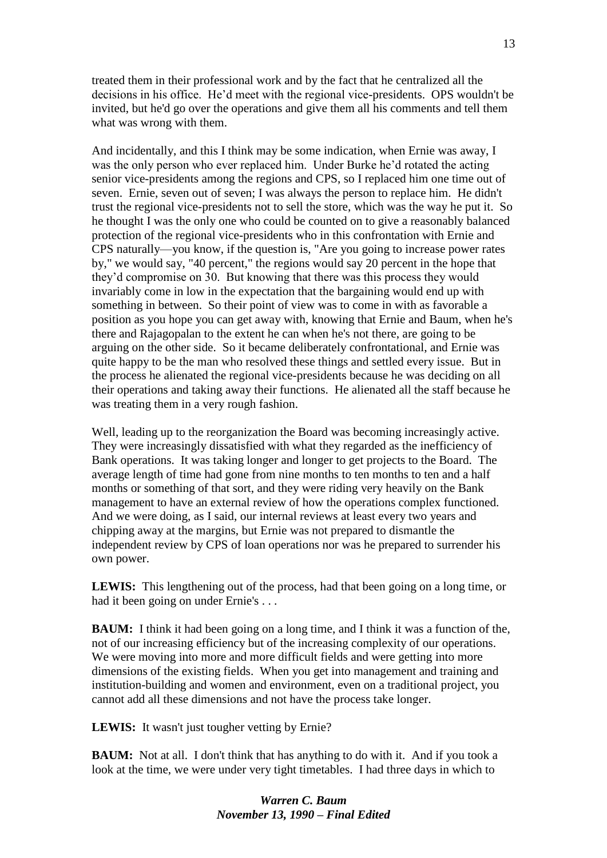treated them in their professional work and by the fact that he centralized all the decisions in his office. He'd meet with the regional vice-presidents. OPS wouldn't be invited, but he'd go over the operations and give them all his comments and tell them what was wrong with them.

And incidentally, and this I think may be some indication, when Ernie was away, I was the only person who ever replaced him. Under Burke he'd rotated the acting senior vice-presidents among the regions and CPS, so I replaced him one time out of seven. Ernie, seven out of seven; I was always the person to replace him. He didn't trust the regional vice-presidents not to sell the store, which was the way he put it. So he thought I was the only one who could be counted on to give a reasonably balanced protection of the regional vice-presidents who in this confrontation with Ernie and CPS naturally—you know, if the question is, "Are you going to increase power rates by," we would say, "40 percent," the regions would say 20 percent in the hope that they'd compromise on 30. But knowing that there was this process they would invariably come in low in the expectation that the bargaining would end up with something in between. So their point of view was to come in with as favorable a position as you hope you can get away with, knowing that Ernie and Baum, when he's there and Rajagopalan to the extent he can when he's not there, are going to be arguing on the other side. So it became deliberately confrontational, and Ernie was quite happy to be the man who resolved these things and settled every issue. But in the process he alienated the regional vice-presidents because he was deciding on all their operations and taking away their functions. He alienated all the staff because he was treating them in a very rough fashion.

Well, leading up to the reorganization the Board was becoming increasingly active. They were increasingly dissatisfied with what they regarded as the inefficiency of Bank operations. It was taking longer and longer to get projects to the Board. The average length of time had gone from nine months to ten months to ten and a half months or something of that sort, and they were riding very heavily on the Bank management to have an external review of how the operations complex functioned. And we were doing, as I said, our internal reviews at least every two years and chipping away at the margins, but Ernie was not prepared to dismantle the independent review by CPS of loan operations nor was he prepared to surrender his own power.

**LEWIS:** This lengthening out of the process, had that been going on a long time, or had it been going on under Ernie's . . .

**BAUM:** I think it had been going on a long time, and I think it was a function of the, not of our increasing efficiency but of the increasing complexity of our operations. We were moving into more and more difficult fields and were getting into more dimensions of the existing fields. When you get into management and training and institution-building and women and environment, even on a traditional project, you cannot add all these dimensions and not have the process take longer.

LEWIS: It wasn't just tougher vetting by Ernie?

**BAUM:** Not at all. I don't think that has anything to do with it. And if you took a look at the time, we were under very tight timetables. I had three days in which to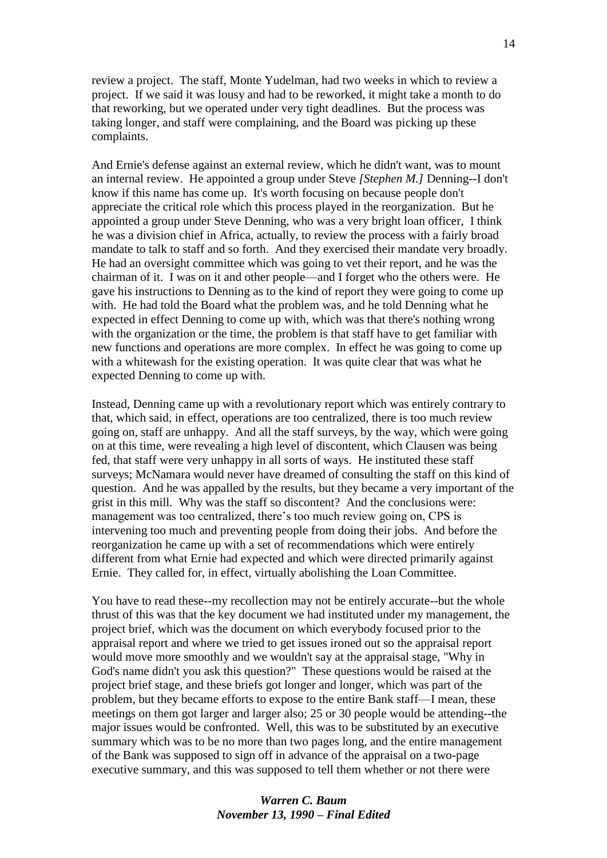review a project. The staff, Monte Yudelman, had two weeks in which to review a project. If we said it was lousy and had to be reworked, it might take a month to do that reworking, but we operated under very tight deadlines. But the process was taking longer, and staff were complaining, and the Board was picking up these complaints.

And Ernie's defense against an external review, which he didn't want, was to mount an internal review. He appointed a group under Steve *[Stephen M.]* Denning--I don't know if this name has come up. It's worth focusing on because people don't appreciate the critical role which this process played in the reorganization. But he appointed a group under Steve Denning, who was a very bright loan officer, I think he was a division chief in Africa, actually, to review the process with a fairly broad mandate to talk to staff and so forth. And they exercised their mandate very broadly. He had an oversight committee which was going to vet their report, and he was the chairman of it. I was on it and other people—and I forget who the others were. He gave his instructions to Denning as to the kind of report they were going to come up with. He had told the Board what the problem was, and he told Denning what he expected in effect Denning to come up with, which was that there's nothing wrong with the organization or the time, the problem is that staff have to get familiar with new functions and operations are more complex. In effect he was going to come up with a whitewash for the existing operation. It was quite clear that was what he expected Denning to come up with.

Instead, Denning came up with a revolutionary report which was entirely contrary to that, which said, in effect, operations are too centralized, there is too much review going on, staff are unhappy. And all the staff surveys, by the way, which were going on at this time, were revealing a high level of discontent, which Clausen was being fed, that staff were very unhappy in all sorts of ways. He instituted these staff surveys; McNamara would never have dreamed of consulting the staff on this kind of question. And he was appalled by the results, but they became a very important of the grist in this mill. Why was the staff so discontent? And the conclusions were: management was too centralized, there's too much review going on, CPS is intervening too much and preventing people from doing their jobs. And before the reorganization he came up with a set of recommendations which were entirely different from what Ernie had expected and which were directed primarily against Ernie. They called for, in effect, virtually abolishing the Loan Committee.

You have to read these--my recollection may not be entirely accurate--but the whole thrust of this was that the key document we had instituted under my management, the project brief, which was the document on which everybody focused prior to the appraisal report and where we tried to get issues ironed out so the appraisal report would move more smoothly and we wouldn't say at the appraisal stage, "Why in God's name didn't you ask this question?" These questions would be raised at the project brief stage, and these briefs got longer and longer, which was part of the problem, but they became efforts to expose to the entire Bank staff—I mean, these meetings on them got larger and larger also; 25 or 30 people would be attending--the major issues would be confronted. Well, this was to be substituted by an executive summary which was to be no more than two pages long, and the entire management of the Bank was supposed to sign off in advance of the appraisal on a two-page executive summary, and this was supposed to tell them whether or not there were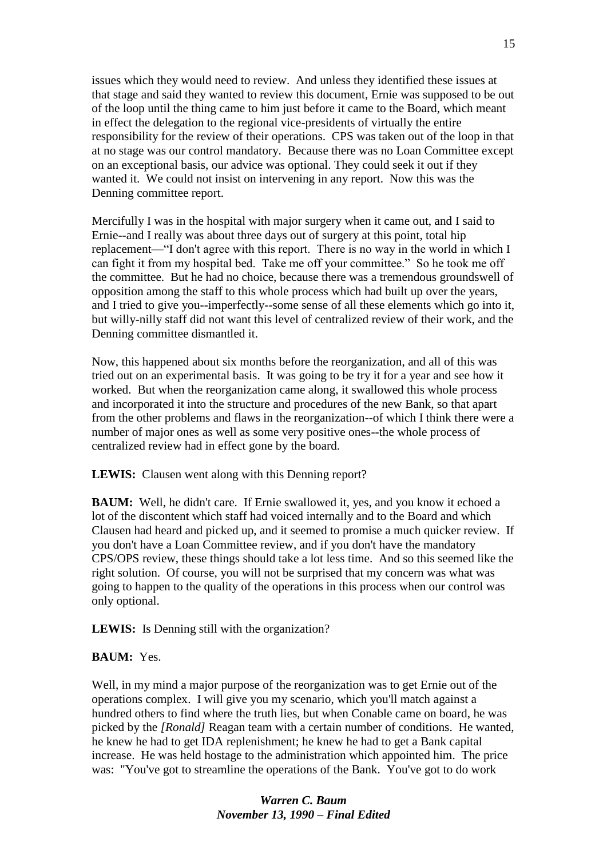issues which they would need to review. And unless they identified these issues at that stage and said they wanted to review this document, Ernie was supposed to be out of the loop until the thing came to him just before it came to the Board, which meant in effect the delegation to the regional vice-presidents of virtually the entire responsibility for the review of their operations. CPS was taken out of the loop in that at no stage was our control mandatory. Because there was no Loan Committee except on an exceptional basis, our advice was optional. They could seek it out if they wanted it. We could not insist on intervening in any report. Now this was the Denning committee report.

Mercifully I was in the hospital with major surgery when it came out, and I said to Ernie--and I really was about three days out of surgery at this point, total hip replacement—"I don't agree with this report. There is no way in the world in which I can fight it from my hospital bed. Take me off your committee." So he took me off the committee. But he had no choice, because there was a tremendous groundswell of opposition among the staff to this whole process which had built up over the years, and I tried to give you--imperfectly--some sense of all these elements which go into it, but willy-nilly staff did not want this level of centralized review of their work, and the Denning committee dismantled it.

Now, this happened about six months before the reorganization, and all of this was tried out on an experimental basis. It was going to be try it for a year and see how it worked. But when the reorganization came along, it swallowed this whole process and incorporated it into the structure and procedures of the new Bank, so that apart from the other problems and flaws in the reorganization--of which I think there were a number of major ones as well as some very positive ones--the whole process of centralized review had in effect gone by the board.

**LEWIS:** Clausen went along with this Denning report?

**BAUM:** Well, he didn't care. If Ernie swallowed it, yes, and you know it echoed a lot of the discontent which staff had voiced internally and to the Board and which Clausen had heard and picked up, and it seemed to promise a much quicker review. If you don't have a Loan Committee review, and if you don't have the mandatory CPS/OPS review, these things should take a lot less time. And so this seemed like the right solution. Of course, you will not be surprised that my concern was what was going to happen to the quality of the operations in this process when our control was only optional.

LEWIS: Is Denning still with the organization?

#### **BAUM:** Yes.

Well, in my mind a major purpose of the reorganization was to get Ernie out of the operations complex. I will give you my scenario, which you'll match against a hundred others to find where the truth lies, but when Conable came on board, he was picked by the *[Ronald]* Reagan team with a certain number of conditions. He wanted, he knew he had to get IDA replenishment; he knew he had to get a Bank capital increase. He was held hostage to the administration which appointed him. The price was: "You've got to streamline the operations of the Bank. You've got to do work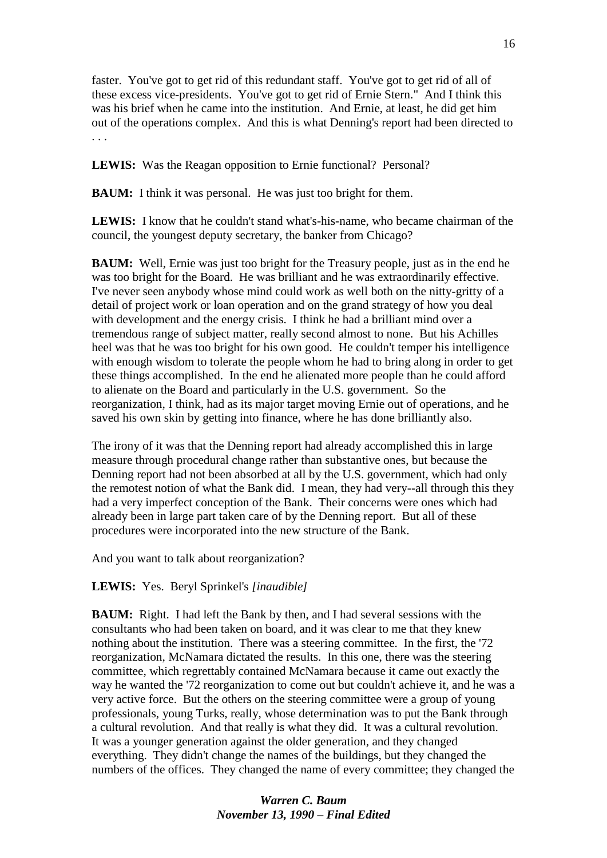faster. You've got to get rid of this redundant staff. You've got to get rid of all of these excess vice-presidents. You've got to get rid of Ernie Stern." And I think this was his brief when he came into the institution. And Ernie, at least, he did get him out of the operations complex. And this is what Denning's report had been directed to . . .

**LEWIS:** Was the Reagan opposition to Ernie functional? Personal?

**BAUM:** I think it was personal. He was just too bright for them.

**LEWIS:** I know that he couldn't stand what's-his-name, who became chairman of the council, the youngest deputy secretary, the banker from Chicago?

**BAUM:** Well, Ernie was just too bright for the Treasury people, just as in the end he was too bright for the Board. He was brilliant and he was extraordinarily effective. I've never seen anybody whose mind could work as well both on the nitty-gritty of a detail of project work or loan operation and on the grand strategy of how you deal with development and the energy crisis. I think he had a brilliant mind over a tremendous range of subject matter, really second almost to none. But his Achilles heel was that he was too bright for his own good. He couldn't temper his intelligence with enough wisdom to tolerate the people whom he had to bring along in order to get these things accomplished. In the end he alienated more people than he could afford to alienate on the Board and particularly in the U.S. government. So the reorganization, I think, had as its major target moving Ernie out of operations, and he saved his own skin by getting into finance, where he has done brilliantly also.

The irony of it was that the Denning report had already accomplished this in large measure through procedural change rather than substantive ones, but because the Denning report had not been absorbed at all by the U.S. government, which had only the remotest notion of what the Bank did. I mean, they had very--all through this they had a very imperfect conception of the Bank. Their concerns were ones which had already been in large part taken care of by the Denning report. But all of these procedures were incorporated into the new structure of the Bank.

And you want to talk about reorganization?

#### **LEWIS:** Yes. Beryl Sprinkel's *[inaudible]*

**BAUM:** Right. I had left the Bank by then, and I had several sessions with the consultants who had been taken on board, and it was clear to me that they knew nothing about the institution. There was a steering committee. In the first, the '72 reorganization, McNamara dictated the results. In this one, there was the steering committee, which regrettably contained McNamara because it came out exactly the way he wanted the '72 reorganization to come out but couldn't achieve it, and he was a very active force. But the others on the steering committee were a group of young professionals, young Turks, really, whose determination was to put the Bank through a cultural revolution. And that really is what they did. It was a cultural revolution. It was a younger generation against the older generation, and they changed everything. They didn't change the names of the buildings, but they changed the numbers of the offices. They changed the name of every committee; they changed the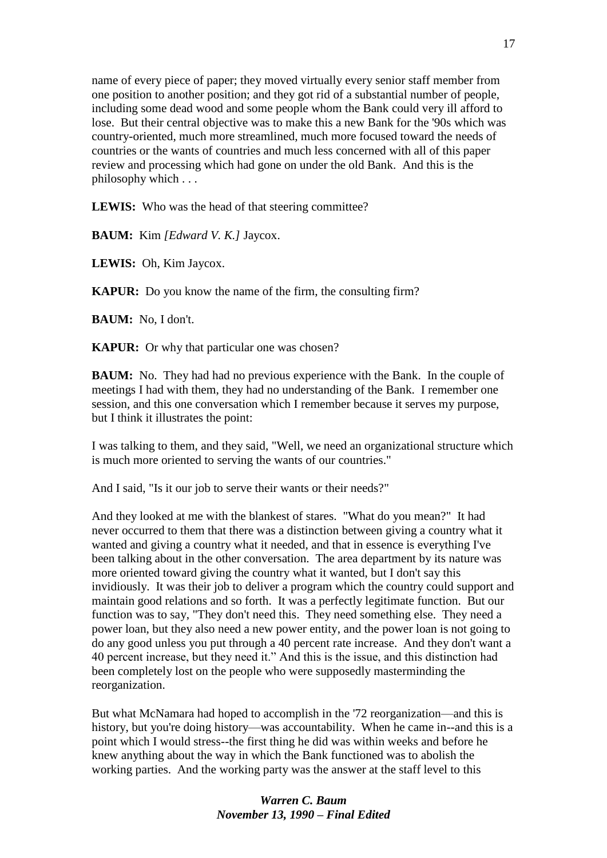name of every piece of paper; they moved virtually every senior staff member from one position to another position; and they got rid of a substantial number of people, including some dead wood and some people whom the Bank could very ill afford to lose. But their central objective was to make this a new Bank for the '90s which was country-oriented, much more streamlined, much more focused toward the needs of countries or the wants of countries and much less concerned with all of this paper review and processing which had gone on under the old Bank. And this is the philosophy which . . .

LEWIS: Who was the head of that steering committee?

**BAUM:** Kim *[Edward V. K.]* Jaycox.

**LEWIS:** Oh, Kim Jaycox.

**KAPUR:** Do you know the name of the firm, the consulting firm?

**BAUM:** No, I don't.

**KAPUR:** Or why that particular one was chosen?

**BAUM:** No. They had had no previous experience with the Bank. In the couple of meetings I had with them, they had no understanding of the Bank. I remember one session, and this one conversation which I remember because it serves my purpose, but I think it illustrates the point:

I was talking to them, and they said, "Well, we need an organizational structure which is much more oriented to serving the wants of our countries."

And I said, "Is it our job to serve their wants or their needs?"

And they looked at me with the blankest of stares. "What do you mean?" It had never occurred to them that there was a distinction between giving a country what it wanted and giving a country what it needed, and that in essence is everything I've been talking about in the other conversation. The area department by its nature was more oriented toward giving the country what it wanted, but I don't say this invidiously. It was their job to deliver a program which the country could support and maintain good relations and so forth. It was a perfectly legitimate function. But our function was to say, "They don't need this. They need something else. They need a power loan, but they also need a new power entity, and the power loan is not going to do any good unless you put through a 40 percent rate increase. And they don't want a 40 percent increase, but they need it." And this is the issue, and this distinction had been completely lost on the people who were supposedly masterminding the reorganization.

But what McNamara had hoped to accomplish in the '72 reorganization—and this is history, but you're doing history—was accountability. When he came in--and this is a point which I would stress--the first thing he did was within weeks and before he knew anything about the way in which the Bank functioned was to abolish the working parties. And the working party was the answer at the staff level to this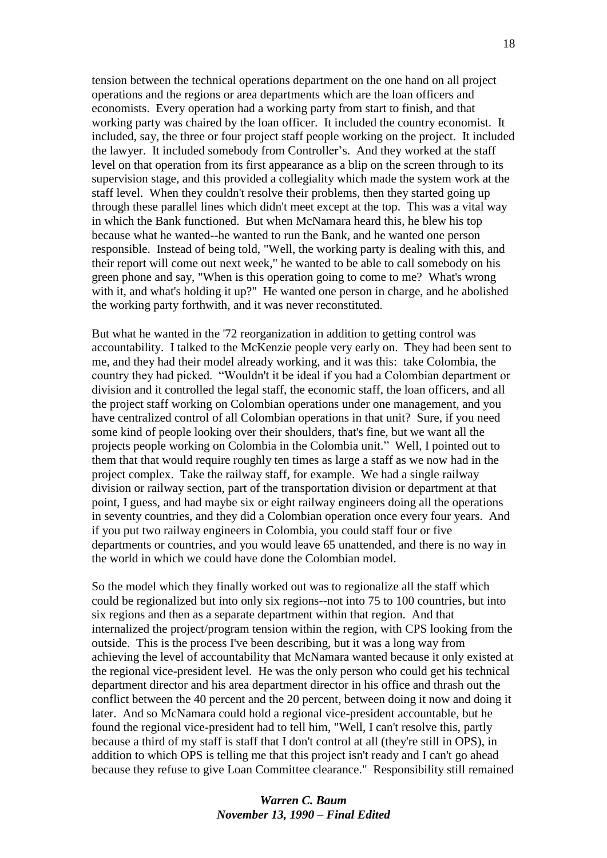tension between the technical operations department on the one hand on all project operations and the regions or area departments which are the loan officers and economists. Every operation had a working party from start to finish, and that working party was chaired by the loan officer. It included the country economist. It included, say, the three or four project staff people working on the project. It included the lawyer. It included somebody from Controller's. And they worked at the staff level on that operation from its first appearance as a blip on the screen through to its supervision stage, and this provided a collegiality which made the system work at the staff level. When they couldn't resolve their problems, then they started going up through these parallel lines which didn't meet except at the top. This was a vital way in which the Bank functioned. But when McNamara heard this, he blew his top because what he wanted--he wanted to run the Bank, and he wanted one person responsible. Instead of being told, "Well, the working party is dealing with this, and their report will come out next week," he wanted to be able to call somebody on his green phone and say, "When is this operation going to come to me? What's wrong with it, and what's holding it up?" He wanted one person in charge, and he abolished the working party forthwith, and it was never reconstituted.

But what he wanted in the '72 reorganization in addition to getting control was accountability. I talked to the McKenzie people very early on. They had been sent to me, and they had their model already working, and it was this: take Colombia, the country they had picked. "Wouldn't it be ideal if you had a Colombian department or division and it controlled the legal staff, the economic staff, the loan officers, and all the project staff working on Colombian operations under one management, and you have centralized control of all Colombian operations in that unit? Sure, if you need some kind of people looking over their shoulders, that's fine, but we want all the projects people working on Colombia in the Colombia unit." Well, I pointed out to them that that would require roughly ten times as large a staff as we now had in the project complex. Take the railway staff, for example. We had a single railway division or railway section, part of the transportation division or department at that point, I guess, and had maybe six or eight railway engineers doing all the operations in seventy countries, and they did a Colombian operation once every four years. And if you put two railway engineers in Colombia, you could staff four or five departments or countries, and you would leave 65 unattended, and there is no way in the world in which we could have done the Colombian model.

So the model which they finally worked out was to regionalize all the staff which could be regionalized but into only six regions--not into 75 to 100 countries, but into six regions and then as a separate department within that region. And that internalized the project/program tension within the region, with CPS looking from the outside. This is the process I've been describing, but it was a long way from achieving the level of accountability that McNamara wanted because it only existed at the regional vice-president level. He was the only person who could get his technical department director and his area department director in his office and thrash out the conflict between the 40 percent and the 20 percent, between doing it now and doing it later. And so McNamara could hold a regional vice-president accountable, but he found the regional vice-president had to tell him, "Well, I can't resolve this, partly because a third of my staff is staff that I don't control at all (they're still in OPS), in addition to which OPS is telling me that this project isn't ready and I can't go ahead because they refuse to give Loan Committee clearance." Responsibility still remained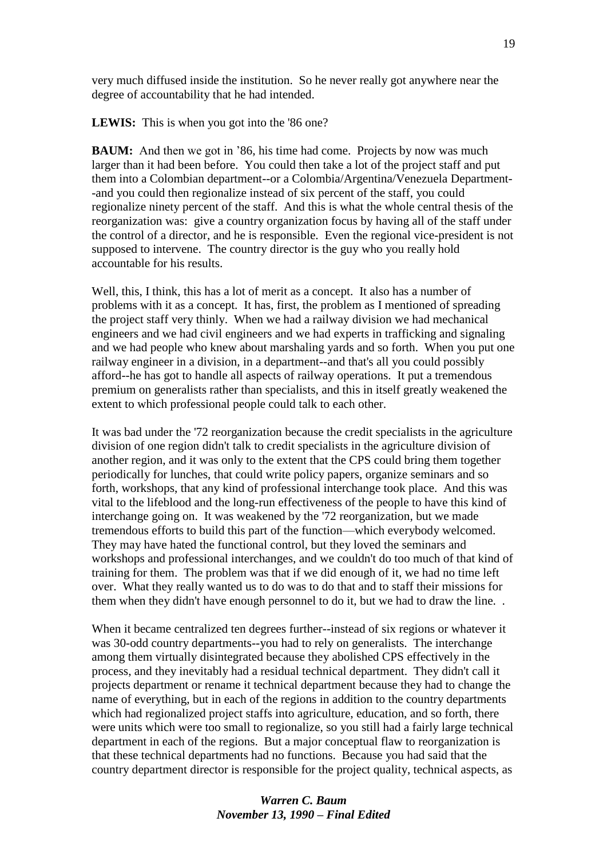very much diffused inside the institution. So he never really got anywhere near the degree of accountability that he had intended.

**LEWIS:** This is when you got into the '86 one?

**BAUM:** And then we got in '86, his time had come. Projects by now was much larger than it had been before. You could then take a lot of the project staff and put them into a Colombian department--or a Colombia/Argentina/Venezuela Department- -and you could then regionalize instead of six percent of the staff, you could regionalize ninety percent of the staff. And this is what the whole central thesis of the reorganization was: give a country organization focus by having all of the staff under the control of a director, and he is responsible. Even the regional vice-president is not supposed to intervene. The country director is the guy who you really hold accountable for his results.

Well, this, I think, this has a lot of merit as a concept. It also has a number of problems with it as a concept. It has, first, the problem as I mentioned of spreading the project staff very thinly. When we had a railway division we had mechanical engineers and we had civil engineers and we had experts in trafficking and signaling and we had people who knew about marshaling yards and so forth. When you put one railway engineer in a division, in a department--and that's all you could possibly afford--he has got to handle all aspects of railway operations. It put a tremendous premium on generalists rather than specialists, and this in itself greatly weakened the extent to which professional people could talk to each other.

It was bad under the '72 reorganization because the credit specialists in the agriculture division of one region didn't talk to credit specialists in the agriculture division of another region, and it was only to the extent that the CPS could bring them together periodically for lunches, that could write policy papers, organize seminars and so forth, workshops, that any kind of professional interchange took place. And this was vital to the lifeblood and the long-run effectiveness of the people to have this kind of interchange going on. It was weakened by the '72 reorganization, but we made tremendous efforts to build this part of the function—which everybody welcomed. They may have hated the functional control, but they loved the seminars and workshops and professional interchanges, and we couldn't do too much of that kind of training for them. The problem was that if we did enough of it, we had no time left over. What they really wanted us to do was to do that and to staff their missions for them when they didn't have enough personnel to do it, but we had to draw the line. .

When it became centralized ten degrees further--instead of six regions or whatever it was 30-odd country departments--you had to rely on generalists. The interchange among them virtually disintegrated because they abolished CPS effectively in the process, and they inevitably had a residual technical department. They didn't call it projects department or rename it technical department because they had to change the name of everything, but in each of the regions in addition to the country departments which had regionalized project staffs into agriculture, education, and so forth, there were units which were too small to regionalize, so you still had a fairly large technical department in each of the regions. But a major conceptual flaw to reorganization is that these technical departments had no functions. Because you had said that the country department director is responsible for the project quality, technical aspects, as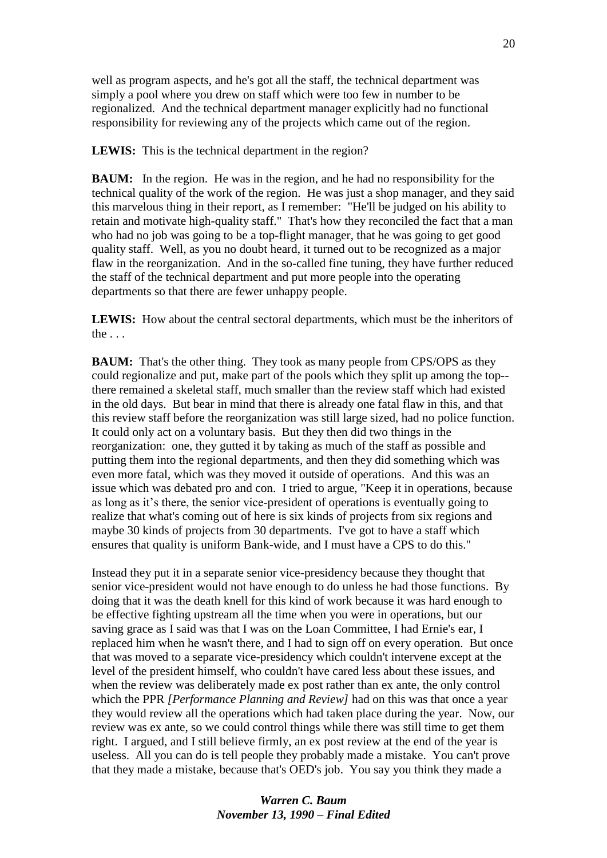well as program aspects, and he's got all the staff, the technical department was simply a pool where you drew on staff which were too few in number to be regionalized. And the technical department manager explicitly had no functional responsibility for reviewing any of the projects which came out of the region.

**LEWIS:** This is the technical department in the region?

**BAUM:** In the region. He was in the region, and he had no responsibility for the technical quality of the work of the region. He was just a shop manager, and they said this marvelous thing in their report, as I remember: "He'll be judged on his ability to retain and motivate high-quality staff." That's how they reconciled the fact that a man who had no job was going to be a top-flight manager, that he was going to get good quality staff. Well, as you no doubt heard, it turned out to be recognized as a major flaw in the reorganization. And in the so-called fine tuning, they have further reduced the staff of the technical department and put more people into the operating departments so that there are fewer unhappy people.

**LEWIS:** How about the central sectoral departments, which must be the inheritors of the . . .

**BAUM:** That's the other thing. They took as many people from CPS/OPS as they could regionalize and put, make part of the pools which they split up among the top- there remained a skeletal staff, much smaller than the review staff which had existed in the old days. But bear in mind that there is already one fatal flaw in this, and that this review staff before the reorganization was still large sized, had no police function. It could only act on a voluntary basis. But they then did two things in the reorganization: one, they gutted it by taking as much of the staff as possible and putting them into the regional departments, and then they did something which was even more fatal, which was they moved it outside of operations. And this was an issue which was debated pro and con. I tried to argue, "Keep it in operations, because as long as it's there, the senior vice-president of operations is eventually going to realize that what's coming out of here is six kinds of projects from six regions and maybe 30 kinds of projects from 30 departments. I've got to have a staff which ensures that quality is uniform Bank-wide, and I must have a CPS to do this."

Instead they put it in a separate senior vice-presidency because they thought that senior vice-president would not have enough to do unless he had those functions. By doing that it was the death knell for this kind of work because it was hard enough to be effective fighting upstream all the time when you were in operations, but our saving grace as I said was that I was on the Loan Committee, I had Ernie's ear, I replaced him when he wasn't there, and I had to sign off on every operation. But once that was moved to a separate vice-presidency which couldn't intervene except at the level of the president himself, who couldn't have cared less about these issues, and when the review was deliberately made ex post rather than ex ante, the only control which the PPR *[Performance Planning and Review]* had on this was that once a year they would review all the operations which had taken place during the year. Now, our review was ex ante, so we could control things while there was still time to get them right. I argued, and I still believe firmly, an ex post review at the end of the year is useless. All you can do is tell people they probably made a mistake. You can't prove that they made a mistake, because that's OED's job. You say you think they made a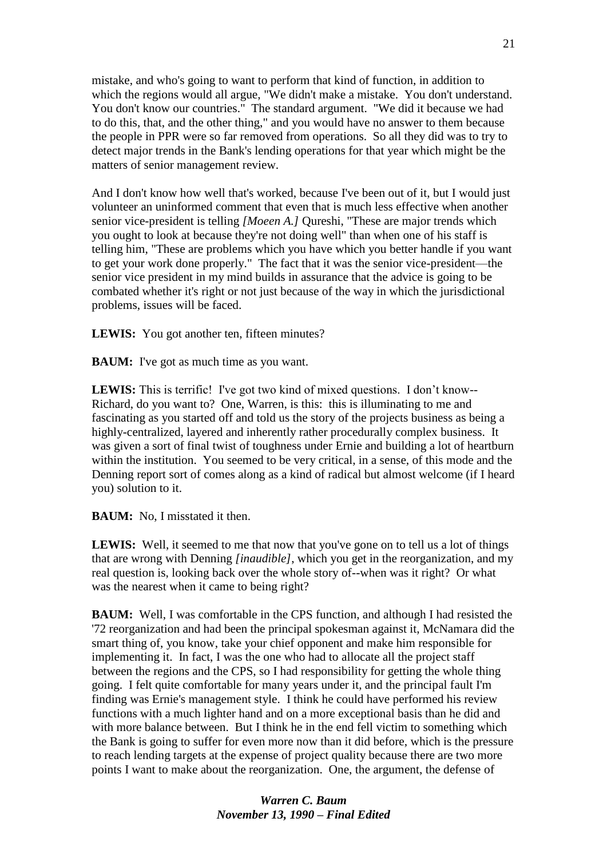mistake, and who's going to want to perform that kind of function, in addition to which the regions would all argue, "We didn't make a mistake. You don't understand. You don't know our countries." The standard argument. "We did it because we had to do this, that, and the other thing," and you would have no answer to them because the people in PPR were so far removed from operations. So all they did was to try to detect major trends in the Bank's lending operations for that year which might be the matters of senior management review.

And I don't know how well that's worked, because I've been out of it, but I would just volunteer an uninformed comment that even that is much less effective when another senior vice-president is telling *[Moeen A.]* Qureshi, "These are major trends which you ought to look at because they're not doing well" than when one of his staff is telling him, "These are problems which you have which you better handle if you want to get your work done properly." The fact that it was the senior vice-president—the senior vice president in my mind builds in assurance that the advice is going to be combated whether it's right or not just because of the way in which the jurisdictional problems, issues will be faced.

**LEWIS:** You got another ten, fifteen minutes?

**BAUM:** I've got as much time as you want.

**LEWIS:** This is terrific! I've got two kind of mixed questions. I don't know--Richard, do you want to? One, Warren, is this: this is illuminating to me and fascinating as you started off and told us the story of the projects business as being a highly-centralized, layered and inherently rather procedurally complex business. It was given a sort of final twist of toughness under Ernie and building a lot of heartburn within the institution. You seemed to be very critical, in a sense, of this mode and the Denning report sort of comes along as a kind of radical but almost welcome (if I heard you) solution to it.

**BAUM:** No, I misstated it then.

**LEWIS:** Well, it seemed to me that now that you've gone on to tell us a lot of things that are wrong with Denning *[inaudible]*, which you get in the reorganization, and my real question is, looking back over the whole story of--when was it right? Or what was the nearest when it came to being right?

**BAUM:** Well, I was comfortable in the CPS function, and although I had resisted the '72 reorganization and had been the principal spokesman against it, McNamara did the smart thing of, you know, take your chief opponent and make him responsible for implementing it. In fact, I was the one who had to allocate all the project staff between the regions and the CPS, so I had responsibility for getting the whole thing going. I felt quite comfortable for many years under it, and the principal fault I'm finding was Ernie's management style. I think he could have performed his review functions with a much lighter hand and on a more exceptional basis than he did and with more balance between. But I think he in the end fell victim to something which the Bank is going to suffer for even more now than it did before, which is the pressure to reach lending targets at the expense of project quality because there are two more points I want to make about the reorganization. One, the argument, the defense of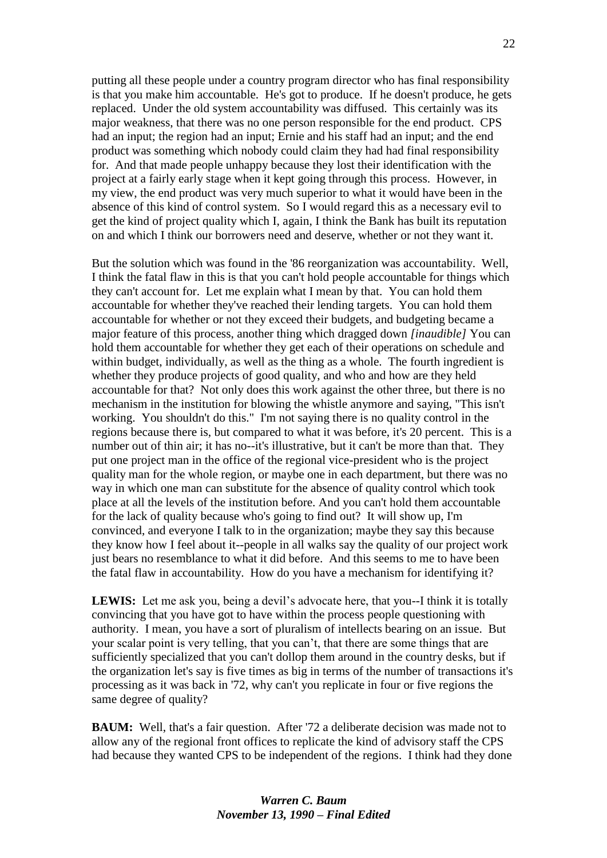putting all these people under a country program director who has final responsibility is that you make him accountable. He's got to produce. If he doesn't produce, he gets replaced. Under the old system accountability was diffused. This certainly was its major weakness, that there was no one person responsible for the end product. CPS had an input; the region had an input; Ernie and his staff had an input; and the end product was something which nobody could claim they had had final responsibility for. And that made people unhappy because they lost their identification with the project at a fairly early stage when it kept going through this process. However, in my view, the end product was very much superior to what it would have been in the absence of this kind of control system. So I would regard this as a necessary evil to get the kind of project quality which I, again, I think the Bank has built its reputation on and which I think our borrowers need and deserve, whether or not they want it.

But the solution which was found in the '86 reorganization was accountability. Well, I think the fatal flaw in this is that you can't hold people accountable for things which they can't account for. Let me explain what I mean by that. You can hold them accountable for whether they've reached their lending targets. You can hold them accountable for whether or not they exceed their budgets, and budgeting became a major feature of this process, another thing which dragged down *[inaudible]* You can hold them accountable for whether they get each of their operations on schedule and within budget, individually, as well as the thing as a whole. The fourth ingredient is whether they produce projects of good quality, and who and how are they held accountable for that? Not only does this work against the other three, but there is no mechanism in the institution for blowing the whistle anymore and saying, "This isn't working. You shouldn't do this." I'm not saying there is no quality control in the regions because there is, but compared to what it was before, it's 20 percent. This is a number out of thin air; it has no--it's illustrative, but it can't be more than that. They put one project man in the office of the regional vice-president who is the project quality man for the whole region, or maybe one in each department, but there was no way in which one man can substitute for the absence of quality control which took place at all the levels of the institution before. And you can't hold them accountable for the lack of quality because who's going to find out? It will show up, I'm convinced, and everyone I talk to in the organization; maybe they say this because they know how I feel about it--people in all walks say the quality of our project work just bears no resemblance to what it did before. And this seems to me to have been the fatal flaw in accountability. How do you have a mechanism for identifying it?

**LEWIS:** Let me ask you, being a devil's advocate here, that you--I think it is totally convincing that you have got to have within the process people questioning with authority. I mean, you have a sort of pluralism of intellects bearing on an issue. But your scalar point is very telling, that you can't, that there are some things that are sufficiently specialized that you can't dollop them around in the country desks, but if the organization let's say is five times as big in terms of the number of transactions it's processing as it was back in '72, why can't you replicate in four or five regions the same degree of quality?

**BAUM:** Well, that's a fair question. After '72 a deliberate decision was made not to allow any of the regional front offices to replicate the kind of advisory staff the CPS had because they wanted CPS to be independent of the regions. I think had they done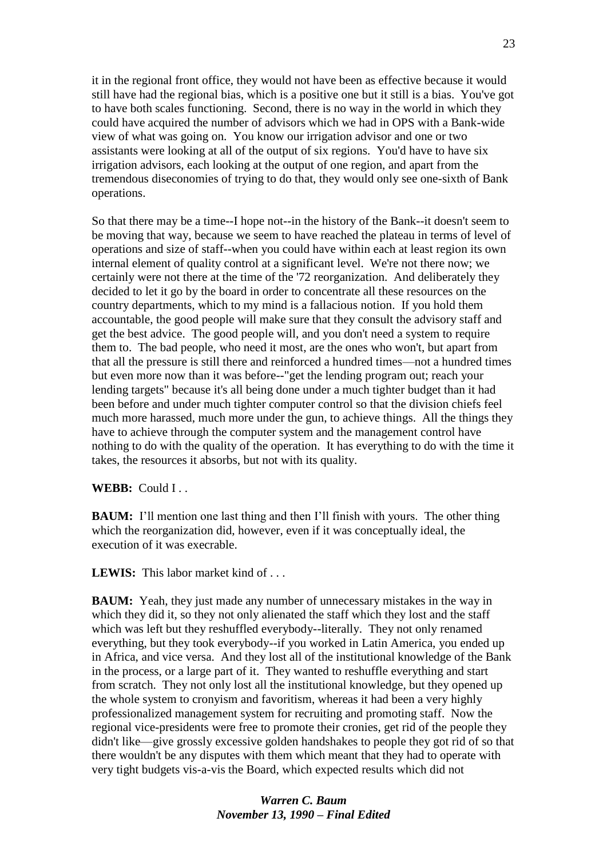it in the regional front office, they would not have been as effective because it would still have had the regional bias, which is a positive one but it still is a bias. You've got to have both scales functioning. Second, there is no way in the world in which they could have acquired the number of advisors which we had in OPS with a Bank-wide view of what was going on. You know our irrigation advisor and one or two assistants were looking at all of the output of six regions. You'd have to have six irrigation advisors, each looking at the output of one region, and apart from the tremendous diseconomies of trying to do that, they would only see one-sixth of Bank operations.

So that there may be a time--I hope not--in the history of the Bank--it doesn't seem to be moving that way, because we seem to have reached the plateau in terms of level of operations and size of staff--when you could have within each at least region its own internal element of quality control at a significant level. We're not there now; we certainly were not there at the time of the '72 reorganization. And deliberately they decided to let it go by the board in order to concentrate all these resources on the country departments, which to my mind is a fallacious notion. If you hold them accountable, the good people will make sure that they consult the advisory staff and get the best advice. The good people will, and you don't need a system to require them to. The bad people, who need it most, are the ones who won't, but apart from that all the pressure is still there and reinforced a hundred times—not a hundred times but even more now than it was before--"get the lending program out; reach your lending targets" because it's all being done under a much tighter budget than it had been before and under much tighter computer control so that the division chiefs feel much more harassed, much more under the gun, to achieve things. All the things they have to achieve through the computer system and the management control have nothing to do with the quality of the operation. It has everything to do with the time it takes, the resources it absorbs, but not with its quality.

#### WEBB: Could I . .

**BAUM:** I'll mention one last thing and then I'll finish with yours. The other thing which the reorganization did, however, even if it was conceptually ideal, the execution of it was execrable.

**LEWIS:** This labor market kind of . . .

**BAUM:** Yeah, they just made any number of unnecessary mistakes in the way in which they did it, so they not only alienated the staff which they lost and the staff which was left but they reshuffled everybody--literally. They not only renamed everything, but they took everybody--if you worked in Latin America, you ended up in Africa, and vice versa. And they lost all of the institutional knowledge of the Bank in the process, or a large part of it. They wanted to reshuffle everything and start from scratch. They not only lost all the institutional knowledge, but they opened up the whole system to cronyism and favoritism, whereas it had been a very highly professionalized management system for recruiting and promoting staff. Now the regional vice-presidents were free to promote their cronies, get rid of the people they didn't like—give grossly excessive golden handshakes to people they got rid of so that there wouldn't be any disputes with them which meant that they had to operate with very tight budgets vis-a-vis the Board, which expected results which did not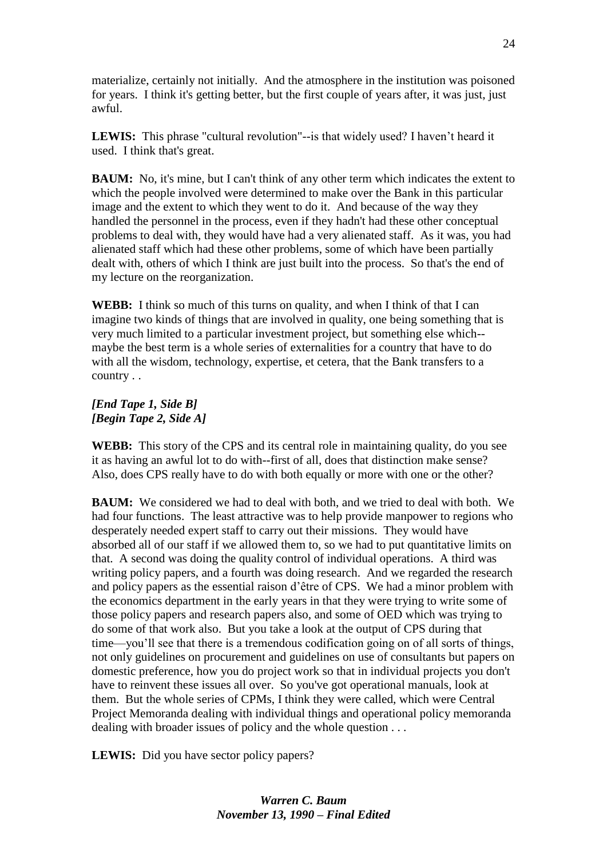materialize, certainly not initially. And the atmosphere in the institution was poisoned for years. I think it's getting better, but the first couple of years after, it was just, just awful.

**LEWIS:** This phrase "cultural revolution"--is that widely used? I haven't heard it used. I think that's great.

**BAUM:** No, it's mine, but I can't think of any other term which indicates the extent to which the people involved were determined to make over the Bank in this particular image and the extent to which they went to do it. And because of the way they handled the personnel in the process, even if they hadn't had these other conceptual problems to deal with, they would have had a very alienated staff. As it was, you had alienated staff which had these other problems, some of which have been partially dealt with, others of which I think are just built into the process. So that's the end of my lecture on the reorganization.

**WEBB:** I think so much of this turns on quality, and when I think of that I can imagine two kinds of things that are involved in quality, one being something that is very much limited to a particular investment project, but something else which- maybe the best term is a whole series of externalities for a country that have to do with all the wisdom, technology, expertise, et cetera, that the Bank transfers to a country . .

## *[End Tape 1, Side B] [Begin Tape 2, Side A]*

**WEBB:** This story of the CPS and its central role in maintaining quality, do you see it as having an awful lot to do with--first of all, does that distinction make sense? Also, does CPS really have to do with both equally or more with one or the other?

**BAUM:** We considered we had to deal with both, and we tried to deal with both. We had four functions. The least attractive was to help provide manpower to regions who desperately needed expert staff to carry out their missions. They would have absorbed all of our staff if we allowed them to, so we had to put quantitative limits on that. A second was doing the quality control of individual operations. A third was writing policy papers, and a fourth was doing research. And we regarded the research and policy papers as the essential raison d'être of CPS. We had a minor problem with the economics department in the early years in that they were trying to write some of those policy papers and research papers also, and some of OED which was trying to do some of that work also. But you take a look at the output of CPS during that time—you'll see that there is a tremendous codification going on of all sorts of things, not only guidelines on procurement and guidelines on use of consultants but papers on domestic preference, how you do project work so that in individual projects you don't have to reinvent these issues all over. So you've got operational manuals, look at them. But the whole series of CPMs, I think they were called, which were Central Project Memoranda dealing with individual things and operational policy memoranda dealing with broader issues of policy and the whole question . . .

LEWIS: Did you have sector policy papers?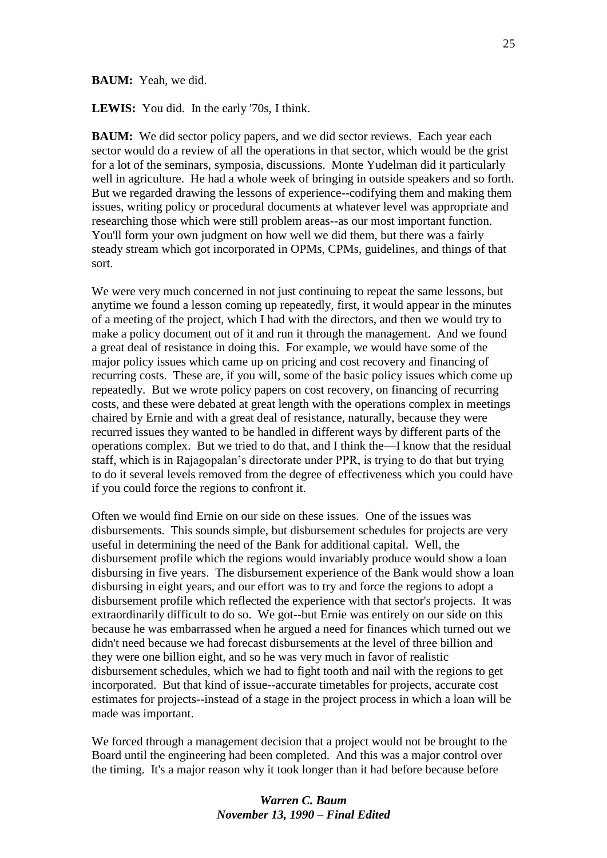#### **BAUM:** Yeah, we did.

**LEWIS:** You did.In the early '70s, I think.

**BAUM:** We did sector policy papers, and we did sector reviews. Each year each sector would do a review of all the operations in that sector, which would be the grist for a lot of the seminars, symposia, discussions. Monte Yudelman did it particularly well in agriculture. He had a whole week of bringing in outside speakers and so forth. But we regarded drawing the lessons of experience--codifying them and making them issues, writing policy or procedural documents at whatever level was appropriate and researching those which were still problem areas--as our most important function. You'll form your own judgment on how well we did them, but there was a fairly steady stream which got incorporated in OPMs, CPMs, guidelines, and things of that sort.

We were very much concerned in not just continuing to repeat the same lessons, but anytime we found a lesson coming up repeatedly, first, it would appear in the minutes of a meeting of the project, which I had with the directors, and then we would try to make a policy document out of it and run it through the management. And we found a great deal of resistance in doing this. For example, we would have some of the major policy issues which came up on pricing and cost recovery and financing of recurring costs. These are, if you will, some of the basic policy issues which come up repeatedly. But we wrote policy papers on cost recovery, on financing of recurring costs, and these were debated at great length with the operations complex in meetings chaired by Ernie and with a great deal of resistance, naturally, because they were recurred issues they wanted to be handled in different ways by different parts of the operations complex. But we tried to do that, and I think the—I know that the residual staff, which is in Rajagopalan's directorate under PPR, is trying to do that but trying to do it several levels removed from the degree of effectiveness which you could have if you could force the regions to confront it.

Often we would find Ernie on our side on these issues. One of the issues was disbursements. This sounds simple, but disbursement schedules for projects are very useful in determining the need of the Bank for additional capital. Well, the disbursement profile which the regions would invariably produce would show a loan disbursing in five years. The disbursement experience of the Bank would show a loan disbursing in eight years, and our effort was to try and force the regions to adopt a disbursement profile which reflected the experience with that sector's projects. It was extraordinarily difficult to do so. We got--but Ernie was entirely on our side on this because he was embarrassed when he argued a need for finances which turned out we didn't need because we had forecast disbursements at the level of three billion and they were one billion eight, and so he was very much in favor of realistic disbursement schedules, which we had to fight tooth and nail with the regions to get incorporated. But that kind of issue--accurate timetables for projects, accurate cost estimates for projects--instead of a stage in the project process in which a loan will be made was important.

We forced through a management decision that a project would not be brought to the Board until the engineering had been completed. And this was a major control over the timing. It's a major reason why it took longer than it had before because before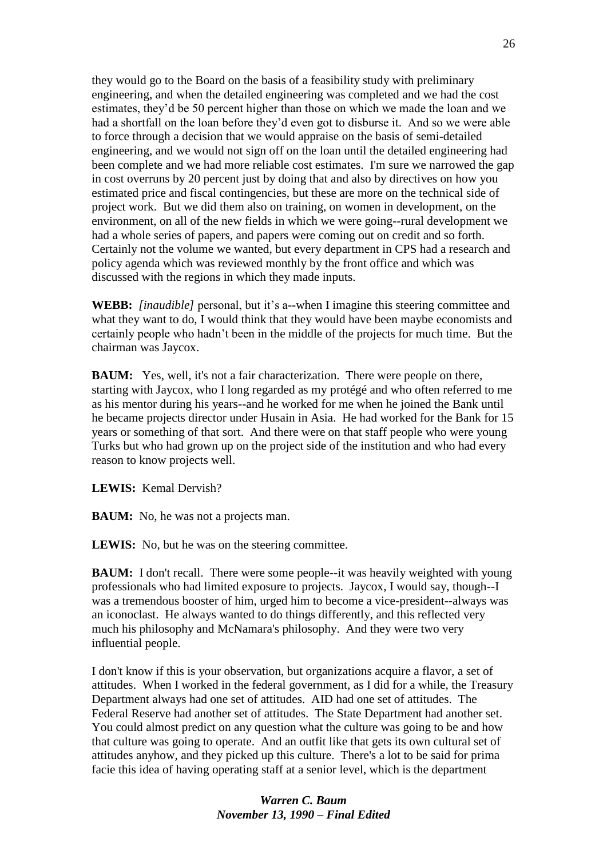they would go to the Board on the basis of a feasibility study with preliminary engineering, and when the detailed engineering was completed and we had the cost estimates, they'd be 50 percent higher than those on which we made the loan and we had a shortfall on the loan before they'd even got to disburse it. And so we were able to force through a decision that we would appraise on the basis of semi-detailed engineering, and we would not sign off on the loan until the detailed engineering had been complete and we had more reliable cost estimates. I'm sure we narrowed the gap in cost overruns by 20 percent just by doing that and also by directives on how you estimated price and fiscal contingencies, but these are more on the technical side of project work. But we did them also on training, on women in development, on the environment, on all of the new fields in which we were going--rural development we had a whole series of papers, and papers were coming out on credit and so forth. Certainly not the volume we wanted, but every department in CPS had a research and policy agenda which was reviewed monthly by the front office and which was discussed with the regions in which they made inputs.

**WEBB:** *[inaudible]* personal, but it's a--when I imagine this steering committee and what they want to do, I would think that they would have been maybe economists and certainly people who hadn't been in the middle of the projects for much time. But the chairman was Jaycox.

**BAUM:** Yes, well, it's not a fair characterization. There were people on there, starting with Jaycox, who I long regarded as my protégé and who often referred to me as his mentor during his years--and he worked for me when he joined the Bank until he became projects director under Husain in Asia. He had worked for the Bank for 15 years or something of that sort. And there were on that staff people who were young Turks but who had grown up on the project side of the institution and who had every reason to know projects well.

**LEWIS:** Kemal Dervish?

**BAUM:** No, he was not a projects man.

LEWIS: No, but he was on the steering committee.

**BAUM:** I don't recall. There were some people--it was heavily weighted with young professionals who had limited exposure to projects. Jaycox, I would say, though--I was a tremendous booster of him, urged him to become a vice-president--always was an iconoclast. He always wanted to do things differently, and this reflected very much his philosophy and McNamara's philosophy. And they were two very influential people.

I don't know if this is your observation, but organizations acquire a flavor, a set of attitudes. When I worked in the federal government, as I did for a while, the Treasury Department always had one set of attitudes. AID had one set of attitudes. The Federal Reserve had another set of attitudes. The State Department had another set. You could almost predict on any question what the culture was going to be and how that culture was going to operate. And an outfit like that gets its own cultural set of attitudes anyhow, and they picked up this culture. There's a lot to be said for prima facie this idea of having operating staff at a senior level, which is the department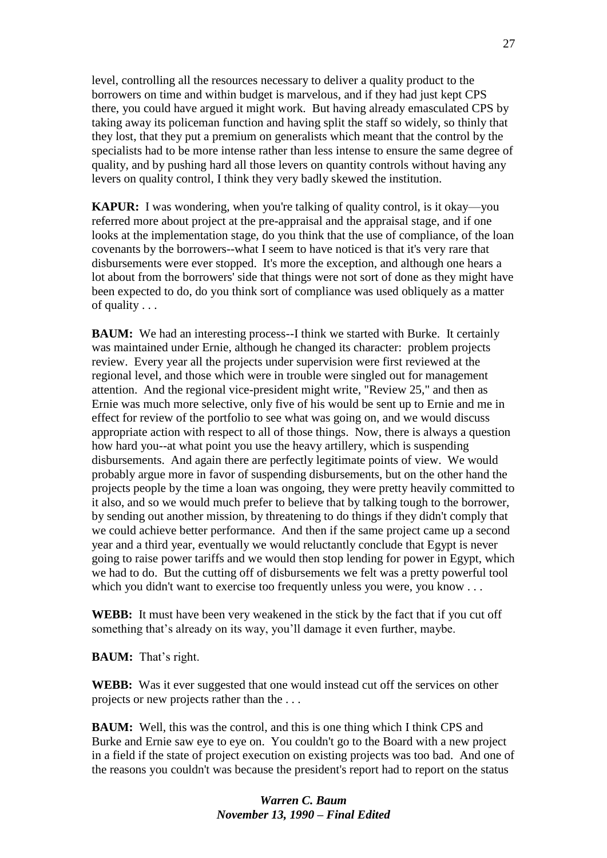level, controlling all the resources necessary to deliver a quality product to the borrowers on time and within budget is marvelous, and if they had just kept CPS there, you could have argued it might work. But having already emasculated CPS by taking away its policeman function and having split the staff so widely, so thinly that they lost, that they put a premium on generalists which meant that the control by the specialists had to be more intense rather than less intense to ensure the same degree of quality, and by pushing hard all those levers on quantity controls without having any levers on quality control, I think they very badly skewed the institution.

**KAPUR:** I was wondering, when you're talking of quality control, is it okay—you referred more about project at the pre-appraisal and the appraisal stage, and if one looks at the implementation stage, do you think that the use of compliance, of the loan covenants by the borrowers--what I seem to have noticed is that it's very rare that disbursements were ever stopped. It's more the exception, and although one hears a lot about from the borrowers' side that things were not sort of done as they might have been expected to do, do you think sort of compliance was used obliquely as a matter of quality . . .

**BAUM:** We had an interesting process--I think we started with Burke. It certainly was maintained under Ernie, although he changed its character: problem projects review. Every year all the projects under supervision were first reviewed at the regional level, and those which were in trouble were singled out for management attention. And the regional vice-president might write, "Review 25," and then as Ernie was much more selective, only five of his would be sent up to Ernie and me in effect for review of the portfolio to see what was going on, and we would discuss appropriate action with respect to all of those things. Now, there is always a question how hard you--at what point you use the heavy artillery, which is suspending disbursements. And again there are perfectly legitimate points of view. We would probably argue more in favor of suspending disbursements, but on the other hand the projects people by the time a loan was ongoing, they were pretty heavily committed to it also, and so we would much prefer to believe that by talking tough to the borrower, by sending out another mission, by threatening to do things if they didn't comply that we could achieve better performance. And then if the same project came up a second year and a third year, eventually we would reluctantly conclude that Egypt is never going to raise power tariffs and we would then stop lending for power in Egypt, which we had to do. But the cutting off of disbursements we felt was a pretty powerful tool which you didn't want to exercise too frequently unless you were, you know . . .

**WEBB:** It must have been very weakened in the stick by the fact that if you cut off something that's already on its way, you'll damage it even further, maybe.

**BAUM:** That's right.

**WEBB:** Was it ever suggested that one would instead cut off the services on other projects or new projects rather than the . . .

**BAUM:** Well, this was the control, and this is one thing which I think CPS and Burke and Ernie saw eye to eye on. You couldn't go to the Board with a new project in a field if the state of project execution on existing projects was too bad. And one of the reasons you couldn't was because the president's report had to report on the status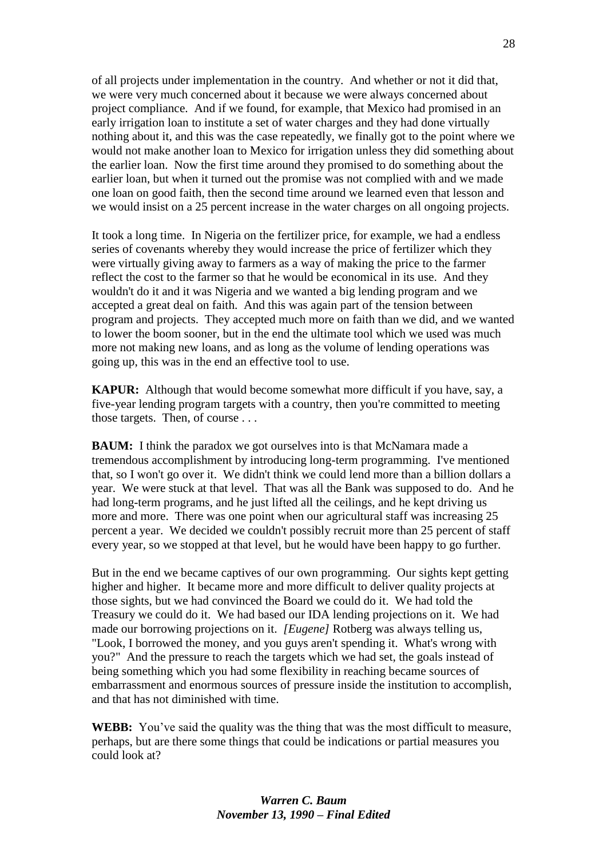of all projects under implementation in the country. And whether or not it did that, we were very much concerned about it because we were always concerned about project compliance. And if we found, for example, that Mexico had promised in an early irrigation loan to institute a set of water charges and they had done virtually nothing about it, and this was the case repeatedly, we finally got to the point where we would not make another loan to Mexico for irrigation unless they did something about the earlier loan. Now the first time around they promised to do something about the earlier loan, but when it turned out the promise was not complied with and we made one loan on good faith, then the second time around we learned even that lesson and we would insist on a 25 percent increase in the water charges on all ongoing projects.

It took a long time. In Nigeria on the fertilizer price, for example, we had a endless series of covenants whereby they would increase the price of fertilizer which they were virtually giving away to farmers as a way of making the price to the farmer reflect the cost to the farmer so that he would be economical in its use. And they wouldn't do it and it was Nigeria and we wanted a big lending program and we accepted a great deal on faith. And this was again part of the tension between program and projects. They accepted much more on faith than we did, and we wanted to lower the boom sooner, but in the end the ultimate tool which we used was much more not making new loans, and as long as the volume of lending operations was going up, this was in the end an effective tool to use.

**KAPUR:** Although that would become somewhat more difficult if you have, say, a five-year lending program targets with a country, then you're committed to meeting those targets. Then, of course . . .

**BAUM:** I think the paradox we got ourselves into is that McNamara made a tremendous accomplishment by introducing long-term programming. I've mentioned that, so I won't go over it. We didn't think we could lend more than a billion dollars a year. We were stuck at that level. That was all the Bank was supposed to do. And he had long-term programs, and he just lifted all the ceilings, and he kept driving us more and more. There was one point when our agricultural staff was increasing 25 percent a year. We decided we couldn't possibly recruit more than 25 percent of staff every year, so we stopped at that level, but he would have been happy to go further.

But in the end we became captives of our own programming. Our sights kept getting higher and higher. It became more and more difficult to deliver quality projects at those sights, but we had convinced the Board we could do it. We had told the Treasury we could do it. We had based our IDA lending projections on it. We had made our borrowing projections on it. *[Eugene]* Rotberg was always telling us, "Look, I borrowed the money, and you guys aren't spending it. What's wrong with you?" And the pressure to reach the targets which we had set, the goals instead of being something which you had some flexibility in reaching became sources of embarrassment and enormous sources of pressure inside the institution to accomplish, and that has not diminished with time.

**WEBB:** You've said the quality was the thing that was the most difficult to measure, perhaps, but are there some things that could be indications or partial measures you could look at?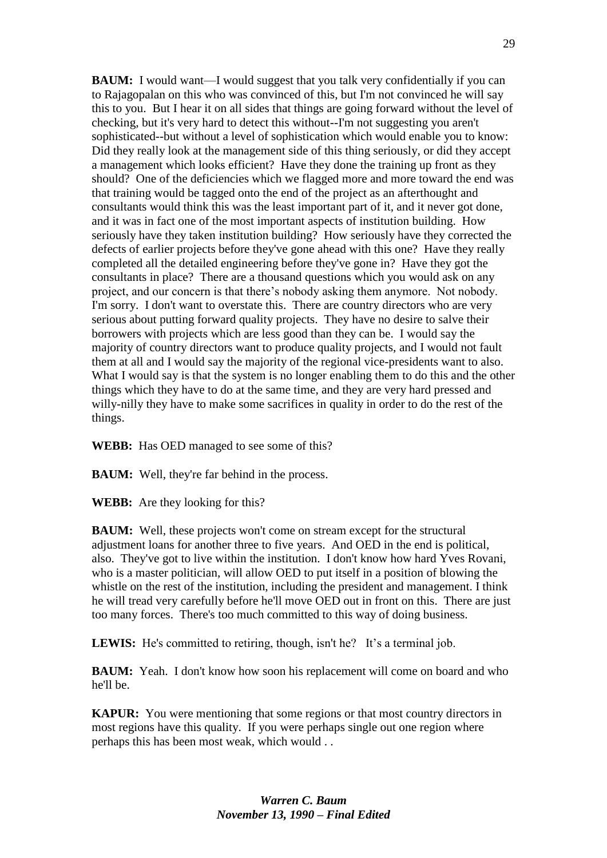**BAUM:** I would want—I would suggest that you talk very confidentially if you can to Rajagopalan on this who was convinced of this, but I'm not convinced he will say this to you. But I hear it on all sides that things are going forward without the level of checking, but it's very hard to detect this without--I'm not suggesting you aren't sophisticated--but without a level of sophistication which would enable you to know: Did they really look at the management side of this thing seriously, or did they accept a management which looks efficient? Have they done the training up front as they should? One of the deficiencies which we flagged more and more toward the end was that training would be tagged onto the end of the project as an afterthought and consultants would think this was the least important part of it, and it never got done, and it was in fact one of the most important aspects of institution building. How seriously have they taken institution building? How seriously have they corrected the defects of earlier projects before they've gone ahead with this one? Have they really completed all the detailed engineering before they've gone in? Have they got the consultants in place? There are a thousand questions which you would ask on any project, and our concern is that there's nobody asking them anymore. Not nobody. I'm sorry. I don't want to overstate this. There are country directors who are very serious about putting forward quality projects. They have no desire to salve their borrowers with projects which are less good than they can be. I would say the majority of country directors want to produce quality projects, and I would not fault them at all and I would say the majority of the regional vice-presidents want to also. What I would say is that the system is no longer enabling them to do this and the other things which they have to do at the same time, and they are very hard pressed and willy-nilly they have to make some sacrifices in quality in order to do the rest of the things.

**WEBB:** Has OED managed to see some of this?

**BAUM:** Well, they're far behind in the process.

**WEBB:** Are they looking for this?

**BAUM:** Well, these projects won't come on stream except for the structural adjustment loans for another three to five years. And OED in the end is political, also. They've got to live within the institution. I don't know how hard Yves Rovani, who is a master politician, will allow OED to put itself in a position of blowing the whistle on the rest of the institution, including the president and management. I think he will tread very carefully before he'll move OED out in front on this. There are just too many forces. There's too much committed to this way of doing business.

**LEWIS:** He's committed to retiring, though, isn't he? It's a terminal job.

**BAUM:** Yeah. I don't know how soon his replacement will come on board and who he'll be.

**KAPUR:** You were mentioning that some regions or that most country directors in most regions have this quality. If you were perhaps single out one region where perhaps this has been most weak, which would . .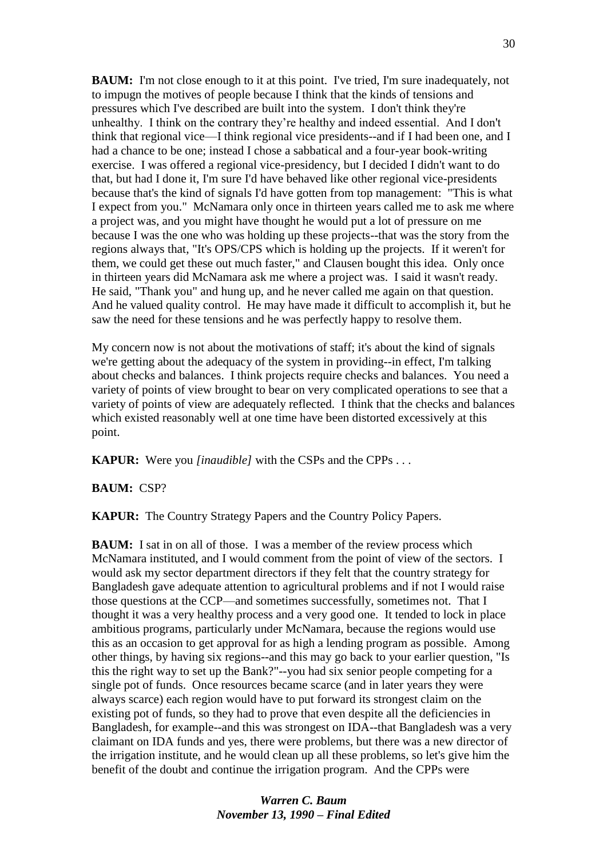**BAUM:** I'm not close enough to it at this point. I've tried, I'm sure inadequately, not to impugn the motives of people because I think that the kinds of tensions and pressures which I've described are built into the system. I don't think they're unhealthy. I think on the contrary they're healthy and indeed essential. And I don't think that regional vice—I think regional vice presidents--and if I had been one, and I had a chance to be one; instead I chose a sabbatical and a four-year book-writing exercise. I was offered a regional vice-presidency, but I decided I didn't want to do that, but had I done it, I'm sure I'd have behaved like other regional vice-presidents because that's the kind of signals I'd have gotten from top management: "This is what I expect from you." McNamara only once in thirteen years called me to ask me where a project was, and you might have thought he would put a lot of pressure on me because I was the one who was holding up these projects--that was the story from the regions always that, "It's OPS/CPS which is holding up the projects. If it weren't for them, we could get these out much faster," and Clausen bought this idea. Only once in thirteen years did McNamara ask me where a project was. I said it wasn't ready. He said, "Thank you" and hung up, and he never called me again on that question. And he valued quality control. He may have made it difficult to accomplish it, but he saw the need for these tensions and he was perfectly happy to resolve them.

My concern now is not about the motivations of staff; it's about the kind of signals we're getting about the adequacy of the system in providing--in effect, I'm talking about checks and balances. I think projects require checks and balances. You need a variety of points of view brought to bear on very complicated operations to see that a variety of points of view are adequately reflected. I think that the checks and balances which existed reasonably well at one time have been distorted excessively at this point.

**KAPUR:** Were you *[inaudible]* with the CSPs and the CPPs . . .

**BAUM:** CSP?

**KAPUR:** The Country Strategy Papers and the Country Policy Papers.

**BAUM:** I sat in on all of those. I was a member of the review process which McNamara instituted, and I would comment from the point of view of the sectors. I would ask my sector department directors if they felt that the country strategy for Bangladesh gave adequate attention to agricultural problems and if not I would raise those questions at the CCP—and sometimes successfully, sometimes not. That I thought it was a very healthy process and a very good one. It tended to lock in place ambitious programs, particularly under McNamara, because the regions would use this as an occasion to get approval for as high a lending program as possible. Among other things, by having six regions--and this may go back to your earlier question, "Is this the right way to set up the Bank?"--you had six senior people competing for a single pot of funds. Once resources became scarce (and in later years they were always scarce) each region would have to put forward its strongest claim on the existing pot of funds, so they had to prove that even despite all the deficiencies in Bangladesh, for example--and this was strongest on IDA--that Bangladesh was a very claimant on IDA funds and yes, there were problems, but there was a new director of the irrigation institute, and he would clean up all these problems, so let's give him the benefit of the doubt and continue the irrigation program. And the CPPs were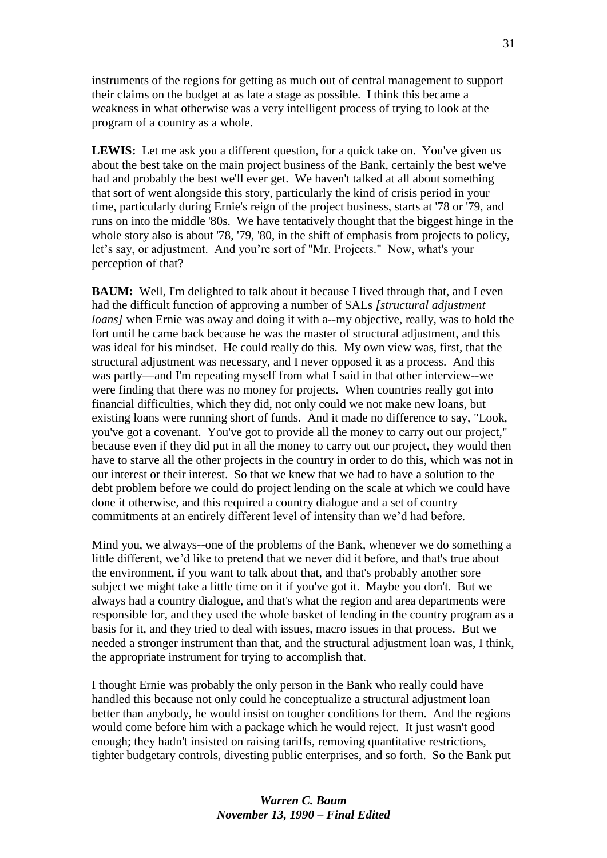instruments of the regions for getting as much out of central management to support their claims on the budget at as late a stage as possible. I think this became a weakness in what otherwise was a very intelligent process of trying to look at the program of a country as a whole.

LEWIS: Let me ask you a different question, for a quick take on. You've given us about the best take on the main project business of the Bank, certainly the best we've had and probably the best we'll ever get. We haven't talked at all about something that sort of went alongside this story, particularly the kind of crisis period in your time, particularly during Ernie's reign of the project business, starts at '78 or '79, and runs on into the middle '80s. We have tentatively thought that the biggest hinge in the whole story also is about '78, '79, '80, in the shift of emphasis from projects to policy, let's say, or adjustment. And you're sort of "Mr. Projects." Now, what's your perception of that?

**BAUM:** Well, I'm delighted to talk about it because I lived through that, and I even had the difficult function of approving a number of SALs *[structural adjustment loans]* when Ernie was away and doing it with a--my objective, really, was to hold the fort until he came back because he was the master of structural adjustment, and this was ideal for his mindset. He could really do this. My own view was, first, that the structural adjustment was necessary, and I never opposed it as a process. And this was partly—and I'm repeating myself from what I said in that other interview--we were finding that there was no money for projects. When countries really got into financial difficulties, which they did, not only could we not make new loans, but existing loans were running short of funds. And it made no difference to say, "Look, you've got a covenant. You've got to provide all the money to carry out our project," because even if they did put in all the money to carry out our project, they would then have to starve all the other projects in the country in order to do this, which was not in our interest or their interest. So that we knew that we had to have a solution to the debt problem before we could do project lending on the scale at which we could have done it otherwise, and this required a country dialogue and a set of country commitments at an entirely different level of intensity than we'd had before.

Mind you, we always--one of the problems of the Bank, whenever we do something a little different, we'd like to pretend that we never did it before, and that's true about the environment, if you want to talk about that, and that's probably another sore subject we might take a little time on it if you've got it. Maybe you don't. But we always had a country dialogue, and that's what the region and area departments were responsible for, and they used the whole basket of lending in the country program as a basis for it, and they tried to deal with issues, macro issues in that process. But we needed a stronger instrument than that, and the structural adjustment loan was, I think, the appropriate instrument for trying to accomplish that.

I thought Ernie was probably the only person in the Bank who really could have handled this because not only could he conceptualize a structural adjustment loan better than anybody, he would insist on tougher conditions for them. And the regions would come before him with a package which he would reject. It just wasn't good enough; they hadn't insisted on raising tariffs, removing quantitative restrictions, tighter budgetary controls, divesting public enterprises, and so forth. So the Bank put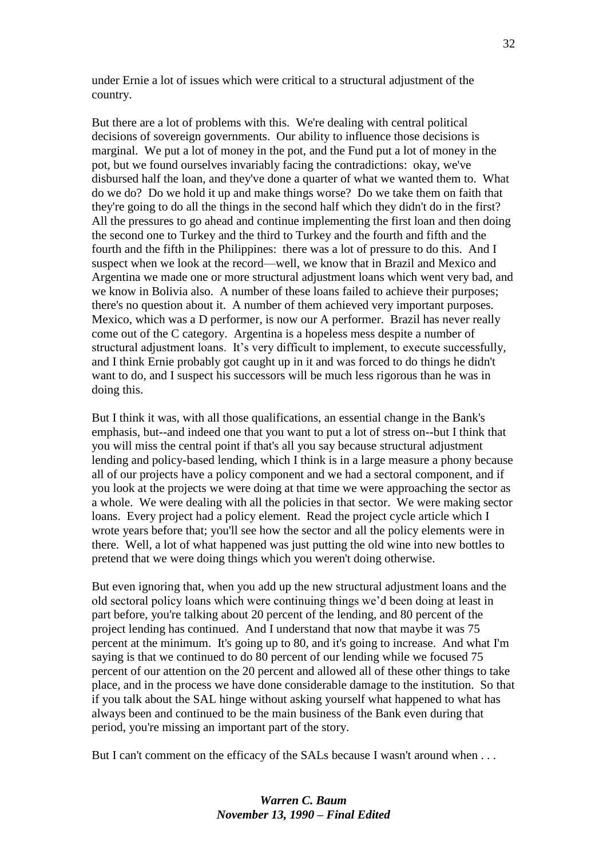under Ernie a lot of issues which were critical to a structural adjustment of the country.

But there are a lot of problems with this. We're dealing with central political decisions of sovereign governments. Our ability to influence those decisions is marginal. We put a lot of money in the pot, and the Fund put a lot of money in the pot, but we found ourselves invariably facing the contradictions: okay, we've disbursed half the loan, and they've done a quarter of what we wanted them to. What do we do? Do we hold it up and make things worse? Do we take them on faith that they're going to do all the things in the second half which they didn't do in the first? All the pressures to go ahead and continue implementing the first loan and then doing the second one to Turkey and the third to Turkey and the fourth and fifth and the fourth and the fifth in the Philippines: there was a lot of pressure to do this. And I suspect when we look at the record—well, we know that in Brazil and Mexico and Argentina we made one or more structural adjustment loans which went very bad, and we know in Bolivia also. A number of these loans failed to achieve their purposes; there's no question about it. A number of them achieved very important purposes. Mexico, which was a D performer, is now our A performer. Brazil has never really come out of the C category. Argentina is a hopeless mess despite a number of structural adjustment loans. It's very difficult to implement, to execute successfully, and I think Ernie probably got caught up in it and was forced to do things he didn't want to do, and I suspect his successors will be much less rigorous than he was in doing this.

But I think it was, with all those qualifications, an essential change in the Bank's emphasis, but--and indeed one that you want to put a lot of stress on--but I think that you will miss the central point if that's all you say because structural adjustment lending and policy-based lending, which I think is in a large measure a phony because all of our projects have a policy component and we had a sectoral component, and if you look at the projects we were doing at that time we were approaching the sector as a whole. We were dealing with all the policies in that sector. We were making sector loans. Every project had a policy element. Read the project cycle article which I wrote years before that; you'll see how the sector and all the policy elements were in there. Well, a lot of what happened was just putting the old wine into new bottles to pretend that we were doing things which you weren't doing otherwise.

But even ignoring that, when you add up the new structural adjustment loans and the old sectoral policy loans which were continuing things we'd been doing at least in part before, you're talking about 20 percent of the lending, and 80 percent of the project lending has continued. And I understand that now that maybe it was 75 percent at the minimum. It's going up to 80, and it's going to increase. And what I'm saying is that we continued to do 80 percent of our lending while we focused 75 percent of our attention on the 20 percent and allowed all of these other things to take place, and in the process we have done considerable damage to the institution. So that if you talk about the SAL hinge without asking yourself what happened to what has always been and continued to be the main business of the Bank even during that period, you're missing an important part of the story.

But I can't comment on the efficacy of the SALs because I wasn't around when . . .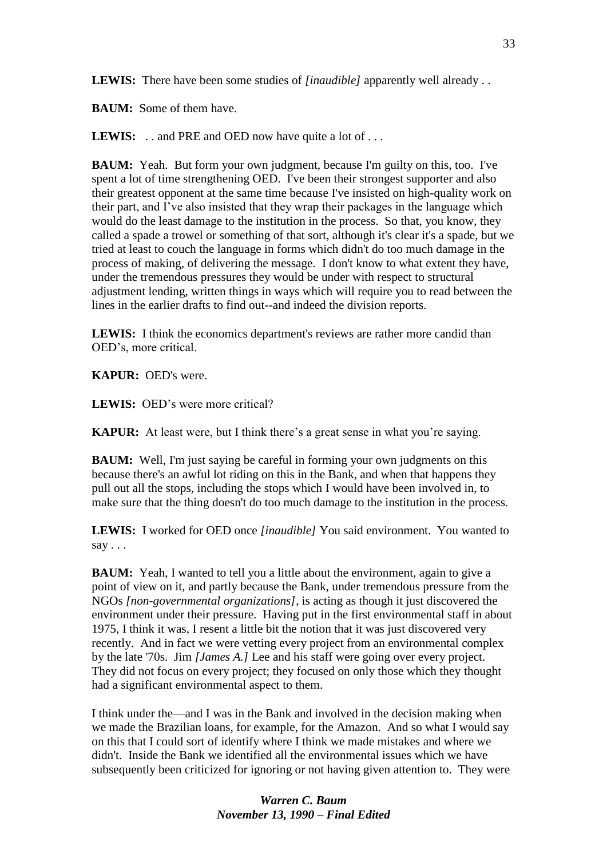**LEWIS:** There have been some studies of *[inaudible]* apparently well already . .

**BAUM:** Some of them have.

**LEWIS:** . . and PRE and OED now have quite a lot of . . .

**BAUM:** Yeah. But form your own judgment, because I'm guilty on this, too. I've spent a lot of time strengthening OED. I've been their strongest supporter and also their greatest opponent at the same time because I've insisted on high-quality work on their part, and I've also insisted that they wrap their packages in the language which would do the least damage to the institution in the process. So that, you know, they called a spade a trowel or something of that sort, although it's clear it's a spade, but we tried at least to couch the language in forms which didn't do too much damage in the process of making, of delivering the message. I don't know to what extent they have, under the tremendous pressures they would be under with respect to structural adjustment lending, written things in ways which will require you to read between the lines in the earlier drafts to find out--and indeed the division reports.

**LEWIS:** I think the economics department's reviews are rather more candid than OED's, more critical.

**KAPUR:** OED's were.

**LEWIS:** OED's were more critical?

**KAPUR:** At least were, but I think there's a great sense in what you're saying.

**BAUM:** Well, I'm just saying be careful in forming your own judgments on this because there's an awful lot riding on this in the Bank, and when that happens they pull out all the stops, including the stops which I would have been involved in, to make sure that the thing doesn't do too much damage to the institution in the process.

**LEWIS:** I worked for OED once *[inaudible]* You said environment. You wanted to say  $\ldots$ 

**BAUM:** Yeah, I wanted to tell you a little about the environment, again to give a point of view on it, and partly because the Bank, under tremendous pressure from the NGOs *[non-governmental organizations]*, is acting as though it just discovered the environment under their pressure. Having put in the first environmental staff in about 1975, I think it was, I resent a little bit the notion that it was just discovered very recently. And in fact we were vetting every project from an environmental complex by the late '70s. Jim *[James A.]* Lee and his staff were going over every project. They did not focus on every project; they focused on only those which they thought had a significant environmental aspect to them.

I think under the—and I was in the Bank and involved in the decision making when we made the Brazilian loans, for example, for the Amazon. And so what I would say on this that I could sort of identify where I think we made mistakes and where we didn't. Inside the Bank we identified all the environmental issues which we have subsequently been criticized for ignoring or not having given attention to. They were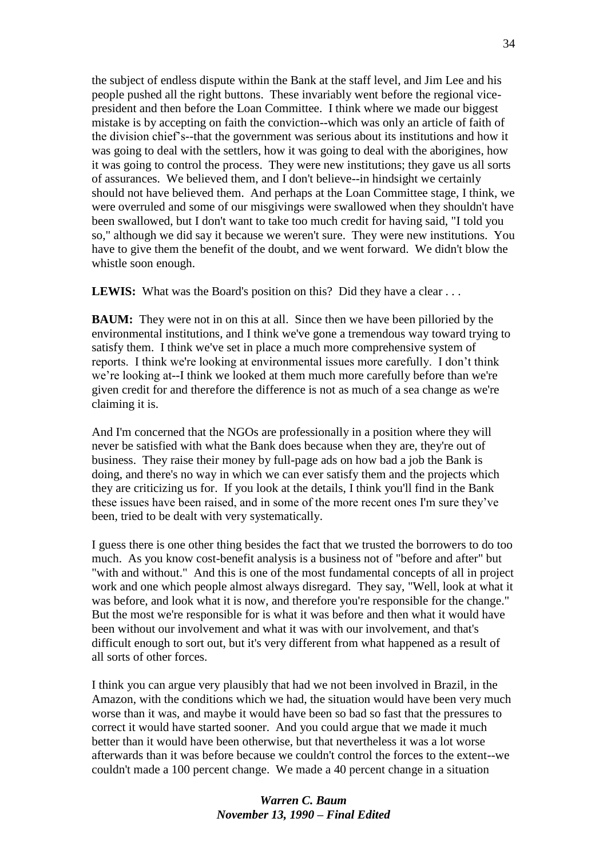the subject of endless dispute within the Bank at the staff level, and Jim Lee and his people pushed all the right buttons. These invariably went before the regional vicepresident and then before the Loan Committee. I think where we made our biggest mistake is by accepting on faith the conviction--which was only an article of faith of the division chief's--that the government was serious about its institutions and how it was going to deal with the settlers, how it was going to deal with the aborigines, how it was going to control the process. They were new institutions; they gave us all sorts of assurances. We believed them, and I don't believe--in hindsight we certainly should not have believed them. And perhaps at the Loan Committee stage, I think, we were overruled and some of our misgivings were swallowed when they shouldn't have been swallowed, but I don't want to take too much credit for having said, "I told you so," although we did say it because we weren't sure. They were new institutions. You have to give them the benefit of the doubt, and we went forward. We didn't blow the whistle soon enough.

LEWIS: What was the Board's position on this? Did they have a clear . . .

**BAUM:** They were not in on this at all. Since then we have been pilloried by the environmental institutions, and I think we've gone a tremendous way toward trying to satisfy them. I think we've set in place a much more comprehensive system of reports. I think we're looking at environmental issues more carefully. I don't think we're looking at--I think we looked at them much more carefully before than we're given credit for and therefore the difference is not as much of a sea change as we're claiming it is.

And I'm concerned that the NGOs are professionally in a position where they will never be satisfied with what the Bank does because when they are, they're out of business. They raise their money by full-page ads on how bad a job the Bank is doing, and there's no way in which we can ever satisfy them and the projects which they are criticizing us for. If you look at the details, I think you'll find in the Bank these issues have been raised, and in some of the more recent ones I'm sure they've been, tried to be dealt with very systematically.

I guess there is one other thing besides the fact that we trusted the borrowers to do too much. As you know cost-benefit analysis is a business not of "before and after" but "with and without." And this is one of the most fundamental concepts of all in project work and one which people almost always disregard. They say, "Well, look at what it was before, and look what it is now, and therefore you're responsible for the change." But the most we're responsible for is what it was before and then what it would have been without our involvement and what it was with our involvement, and that's difficult enough to sort out, but it's very different from what happened as a result of all sorts of other forces.

I think you can argue very plausibly that had we not been involved in Brazil, in the Amazon, with the conditions which we had, the situation would have been very much worse than it was, and maybe it would have been so bad so fast that the pressures to correct it would have started sooner. And you could argue that we made it much better than it would have been otherwise, but that nevertheless it was a lot worse afterwards than it was before because we couldn't control the forces to the extent--we couldn't made a 100 percent change. We made a 40 percent change in a situation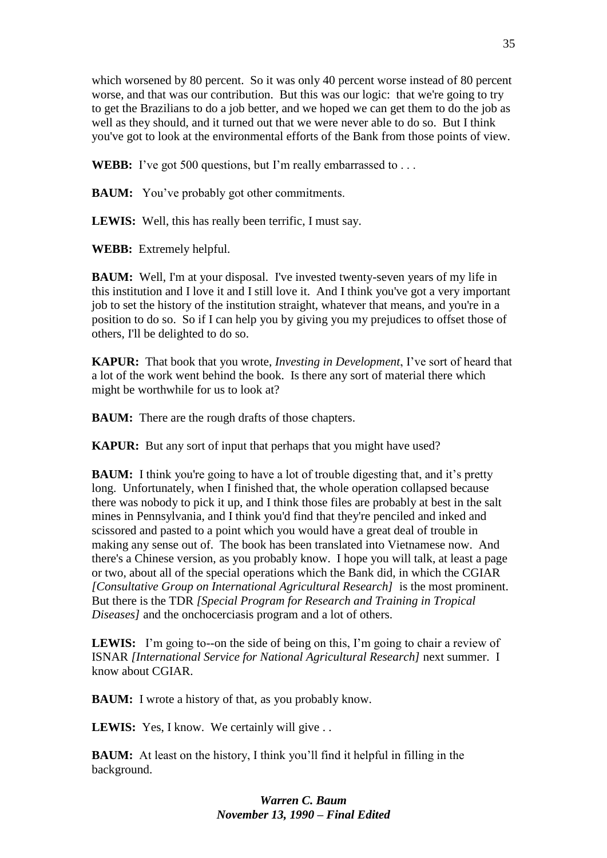which worsened by 80 percent. So it was only 40 percent worse instead of 80 percent worse, and that was our contribution. But this was our logic: that we're going to try to get the Brazilians to do a job better, and we hoped we can get them to do the job as well as they should, and it turned out that we were never able to do so. But I think you've got to look at the environmental efforts of the Bank from those points of view.

**WEBB:** I've got 500 questions, but I'm really embarrassed to . . .

**BAUM:** You've probably got other commitments.

**LEWIS:** Well, this has really been terrific, I must say.

**WEBB:** Extremely helpful.

**BAUM:** Well, I'm at your disposal. I've invested twenty-seven years of my life in this institution and I love it and I still love it. And I think you've got a very important job to set the history of the institution straight, whatever that means, and you're in a position to do so. So if I can help you by giving you my prejudices to offset those of others, I'll be delighted to do so.

**KAPUR:** That book that you wrote, *Investing in Development*, I've sort of heard that a lot of the work went behind the book. Is there any sort of material there which might be worthwhile for us to look at?

**BAUM:** There are the rough drafts of those chapters.

**KAPUR:** But any sort of input that perhaps that you might have used?

**BAUM:** I think you're going to have a lot of trouble digesting that, and it's pretty long. Unfortunately, when I finished that, the whole operation collapsed because there was nobody to pick it up, and I think those files are probably at best in the salt mines in Pennsylvania, and I think you'd find that they're penciled and inked and scissored and pasted to a point which you would have a great deal of trouble in making any sense out of. The book has been translated into Vietnamese now. And there's a Chinese version, as you probably know. I hope you will talk, at least a page or two, about all of the special operations which the Bank did, in which the CGIAR *[Consultative Group on International Agricultural Research]* is the most prominent. But there is the TDR *[Special Program for Research and Training in Tropical Diseases]* and the onchocerciasis program and a lot of others.

**LEWIS:** I'm going to--on the side of being on this, I'm going to chair a review of ISNAR *[International Service for National Agricultural Research]* next summer. I know about CGIAR.

**BAUM:** I wrote a history of that, as you probably know.

LEWIS: Yes, I know. We certainly will give . .

**BAUM:** At least on the history, I think you'll find it helpful in filling in the background.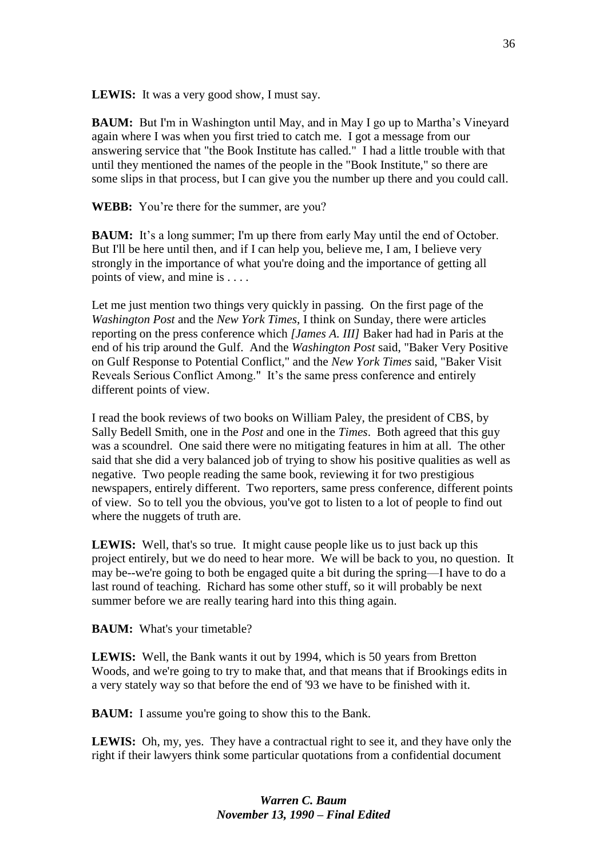**LEWIS:** It was a very good show, I must say.

**BAUM:** But I'm in Washington until May, and in May I go up to Martha's Vineyard again where I was when you first tried to catch me. I got a message from our answering service that "the Book Institute has called." I had a little trouble with that until they mentioned the names of the people in the "Book Institute," so there are some slips in that process, but I can give you the number up there and you could call.

**WEBB:** You're there for the summer, are you?

**BAUM:** It's a long summer; I'm up there from early May until the end of October. But I'll be here until then, and if I can help you, believe me, I am, I believe very strongly in the importance of what you're doing and the importance of getting all points of view, and mine is . . . .

Let me just mention two things very quickly in passing. On the first page of the *Washington Post* and the *New York Times*, I think on Sunday, there were articles reporting on the press conference which *[James A. III]* Baker had had in Paris at the end of his trip around the Gulf. And the *Washington Post* said, "Baker Very Positive on Gulf Response to Potential Conflict," and the *New York Times* said, "Baker Visit Reveals Serious Conflict Among." It's the same press conference and entirely different points of view.

I read the book reviews of two books on William Paley, the president of CBS, by Sally Bedell Smith, one in the *Post* and one in the *Times*. Both agreed that this guy was a scoundrel. One said there were no mitigating features in him at all. The other said that she did a very balanced job of trying to show his positive qualities as well as negative. Two people reading the same book, reviewing it for two prestigious newspapers, entirely different. Two reporters, same press conference, different points of view. So to tell you the obvious, you've got to listen to a lot of people to find out where the nuggets of truth are.

**LEWIS:** Well, that's so true. It might cause people like us to just back up this project entirely, but we do need to hear more. We will be back to you, no question. It may be--we're going to both be engaged quite a bit during the spring—I have to do a last round of teaching. Richard has some other stuff, so it will probably be next summer before we are really tearing hard into this thing again.

**BAUM:** What's your timetable?

**LEWIS:** Well, the Bank wants it out by 1994, which is 50 years from Bretton Woods, and we're going to try to make that, and that means that if Brookings edits in a very stately way so that before the end of '93 we have to be finished with it.

**BAUM:** I assume you're going to show this to the Bank.

**LEWIS:** Oh, my, yes. They have a contractual right to see it, and they have only the right if their lawyers think some particular quotations from a confidential document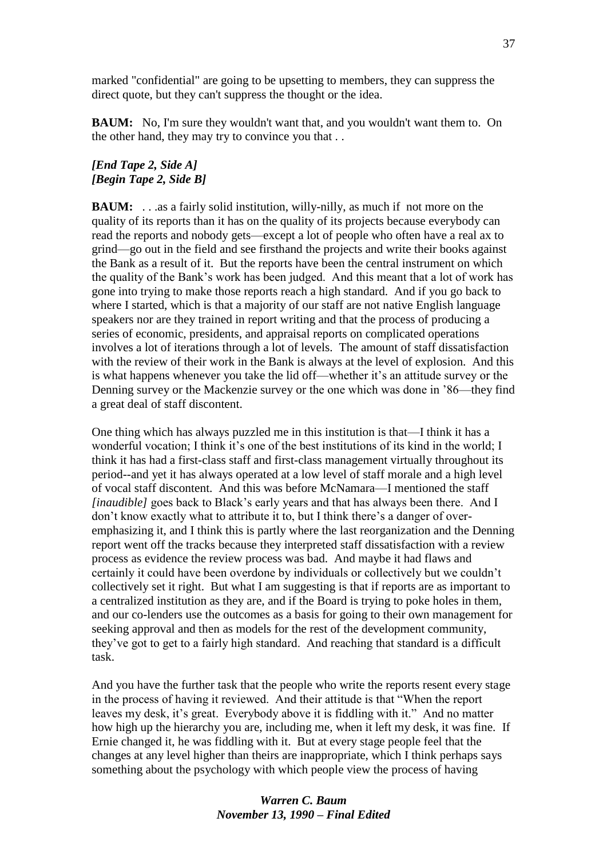marked "confidential" are going to be upsetting to members, they can suppress the direct quote, but they can't suppress the thought or the idea.

**BAUM:** No, I'm sure they wouldn't want that, and you wouldn't want them to. On the other hand, they may try to convince you that . .

### *[End Tape 2, Side A] [Begin Tape 2, Side B]*

**BAUM:** ... as a fairly solid institution, willy-nilly, as much if not more on the quality of its reports than it has on the quality of its projects because everybody can read the reports and nobody gets—except a lot of people who often have a real ax to grind—go out in the field and see firsthand the projects and write their books against the Bank as a result of it. But the reports have been the central instrument on which the quality of the Bank's work has been judged. And this meant that a lot of work has gone into trying to make those reports reach a high standard. And if you go back to where I started, which is that a majority of our staff are not native English language speakers nor are they trained in report writing and that the process of producing a series of economic, presidents, and appraisal reports on complicated operations involves a lot of iterations through a lot of levels. The amount of staff dissatisfaction with the review of their work in the Bank is always at the level of explosion. And this is what happens whenever you take the lid off—whether it's an attitude survey or the Denning survey or the Mackenzie survey or the one which was done in '86—they find a great deal of staff discontent.

One thing which has always puzzled me in this institution is that—I think it has a wonderful vocation; I think it's one of the best institutions of its kind in the world; I think it has had a first-class staff and first-class management virtually throughout its period--and yet it has always operated at a low level of staff morale and a high level of vocal staff discontent. And this was before McNamara—I mentioned the staff *[inaudible]* goes back to Black's early years and that has always been there. And I don't know exactly what to attribute it to, but I think there's a danger of overemphasizing it, and I think this is partly where the last reorganization and the Denning report went off the tracks because they interpreted staff dissatisfaction with a review process as evidence the review process was bad. And maybe it had flaws and certainly it could have been overdone by individuals or collectively but we couldn't collectively set it right. But what I am suggesting is that if reports are as important to a centralized institution as they are, and if the Board is trying to poke holes in them, and our co-lenders use the outcomes as a basis for going to their own management for seeking approval and then as models for the rest of the development community, they've got to get to a fairly high standard. And reaching that standard is a difficult task.

And you have the further task that the people who write the reports resent every stage in the process of having it reviewed. And their attitude is that "When the report leaves my desk, it's great. Everybody above it is fiddling with it." And no matter how high up the hierarchy you are, including me, when it left my desk, it was fine. If Ernie changed it, he was fiddling with it. But at every stage people feel that the changes at any level higher than theirs are inappropriate, which I think perhaps says something about the psychology with which people view the process of having